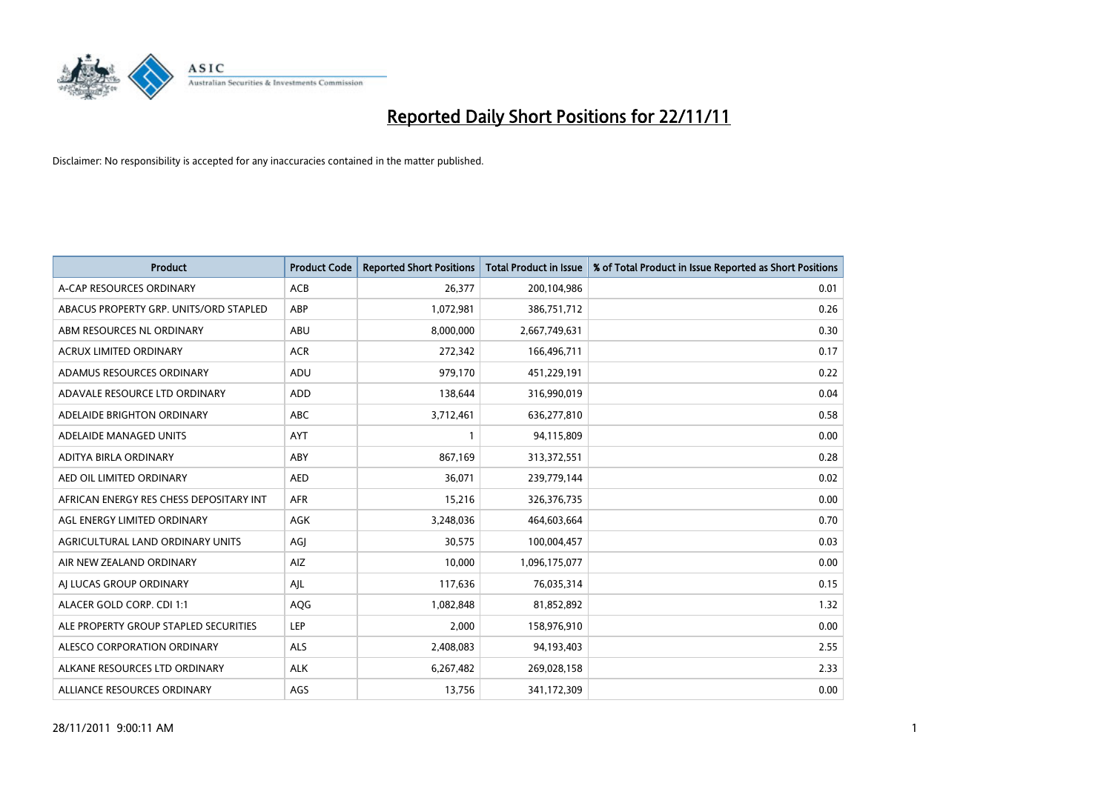

| <b>Product</b>                          | <b>Product Code</b> | <b>Reported Short Positions</b> | <b>Total Product in Issue</b> | % of Total Product in Issue Reported as Short Positions |
|-----------------------------------------|---------------------|---------------------------------|-------------------------------|---------------------------------------------------------|
| A-CAP RESOURCES ORDINARY                | <b>ACB</b>          | 26,377                          | 200,104,986                   | 0.01                                                    |
| ABACUS PROPERTY GRP. UNITS/ORD STAPLED  | ABP                 | 1,072,981                       | 386,751,712                   | 0.26                                                    |
| ABM RESOURCES NL ORDINARY               | ABU                 | 8,000,000                       | 2,667,749,631                 | 0.30                                                    |
| ACRUX LIMITED ORDINARY                  | <b>ACR</b>          | 272,342                         | 166,496,711                   | 0.17                                                    |
| ADAMUS RESOURCES ORDINARY               | ADU                 | 979,170                         | 451,229,191                   | 0.22                                                    |
| ADAVALE RESOURCE LTD ORDINARY           | ADD                 | 138,644                         | 316,990,019                   | 0.04                                                    |
| ADELAIDE BRIGHTON ORDINARY              | <b>ABC</b>          | 3,712,461                       | 636,277,810                   | 0.58                                                    |
| ADELAIDE MANAGED UNITS                  | <b>AYT</b>          |                                 | 94,115,809                    | 0.00                                                    |
| ADITYA BIRLA ORDINARY                   | ABY                 | 867,169                         | 313,372,551                   | 0.28                                                    |
| AED OIL LIMITED ORDINARY                | <b>AED</b>          | 36,071                          | 239,779,144                   | 0.02                                                    |
| AFRICAN ENERGY RES CHESS DEPOSITARY INT | <b>AFR</b>          | 15,216                          | 326,376,735                   | 0.00                                                    |
| AGL ENERGY LIMITED ORDINARY             | <b>AGK</b>          | 3,248,036                       | 464,603,664                   | 0.70                                                    |
| AGRICULTURAL LAND ORDINARY UNITS        | AGI                 | 30,575                          | 100,004,457                   | 0.03                                                    |
| AIR NEW ZEALAND ORDINARY                | AIZ                 | 10,000                          | 1,096,175,077                 | 0.00                                                    |
| AI LUCAS GROUP ORDINARY                 | AJL                 | 117,636                         | 76,035,314                    | 0.15                                                    |
| ALACER GOLD CORP. CDI 1:1               | AQG                 | 1,082,848                       | 81,852,892                    | 1.32                                                    |
| ALE PROPERTY GROUP STAPLED SECURITIES   | LEP                 | 2,000                           | 158,976,910                   | 0.00                                                    |
| ALESCO CORPORATION ORDINARY             | <b>ALS</b>          | 2,408,083                       | 94,193,403                    | 2.55                                                    |
| ALKANE RESOURCES LTD ORDINARY           | <b>ALK</b>          | 6,267,482                       | 269,028,158                   | 2.33                                                    |
| ALLIANCE RESOURCES ORDINARY             | AGS                 | 13,756                          | 341,172,309                   | 0.00                                                    |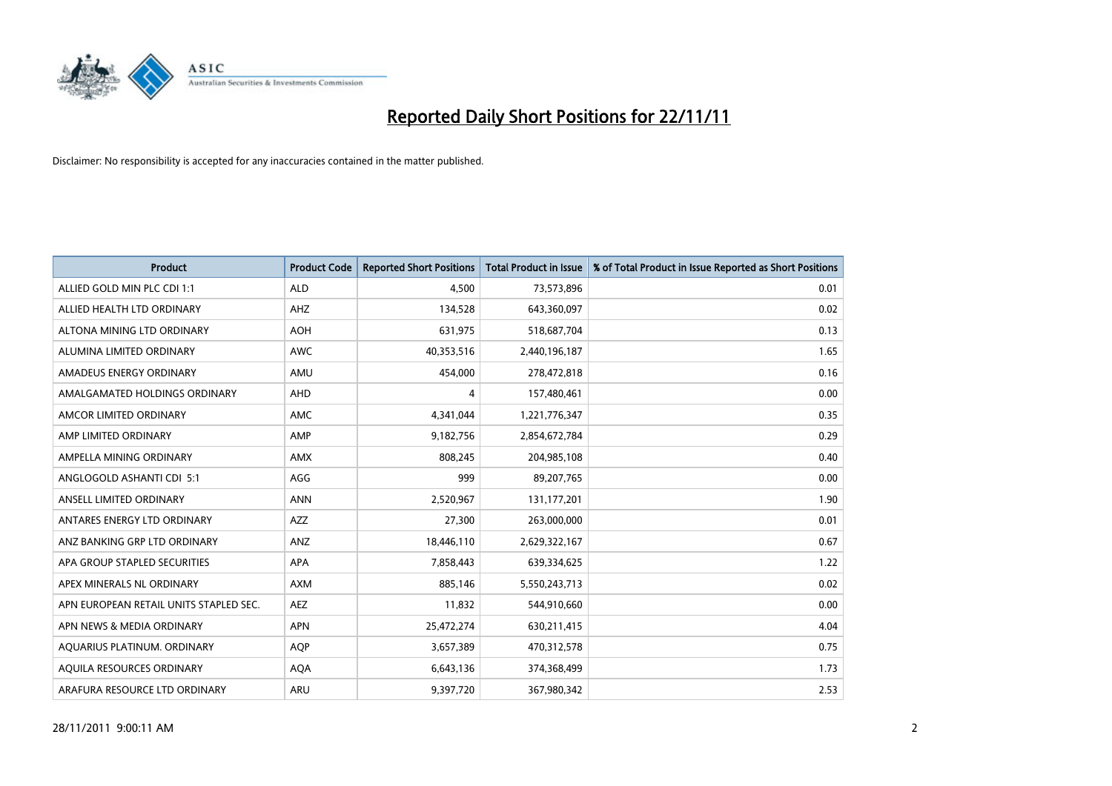

| <b>Product</b>                         | <b>Product Code</b> | <b>Reported Short Positions</b> | <b>Total Product in Issue</b> | % of Total Product in Issue Reported as Short Positions |
|----------------------------------------|---------------------|---------------------------------|-------------------------------|---------------------------------------------------------|
| ALLIED GOLD MIN PLC CDI 1:1            | <b>ALD</b>          | 4.500                           | 73,573,896                    | 0.01                                                    |
| ALLIED HEALTH LTD ORDINARY             | AHZ                 | 134,528                         | 643,360,097                   | 0.02                                                    |
| ALTONA MINING LTD ORDINARY             | <b>AOH</b>          | 631,975                         | 518,687,704                   | 0.13                                                    |
| ALUMINA LIMITED ORDINARY               | <b>AWC</b>          | 40,353,516                      | 2,440,196,187                 | 1.65                                                    |
| AMADEUS ENERGY ORDINARY                | AMU                 | 454.000                         | 278,472,818                   | 0.16                                                    |
| AMALGAMATED HOLDINGS ORDINARY          | AHD                 | 4                               | 157,480,461                   | 0.00                                                    |
| AMCOR LIMITED ORDINARY                 | <b>AMC</b>          | 4,341,044                       | 1,221,776,347                 | 0.35                                                    |
| AMP LIMITED ORDINARY                   | AMP                 | 9,182,756                       | 2,854,672,784                 | 0.29                                                    |
| AMPELLA MINING ORDINARY                | <b>AMX</b>          | 808,245                         | 204,985,108                   | 0.40                                                    |
| ANGLOGOLD ASHANTI CDI 5:1              | AGG                 | 999                             | 89,207,765                    | 0.00                                                    |
| ANSELL LIMITED ORDINARY                | <b>ANN</b>          | 2,520,967                       | 131, 177, 201                 | 1.90                                                    |
| ANTARES ENERGY LTD ORDINARY            | <b>AZZ</b>          | 27,300                          | 263,000,000                   | 0.01                                                    |
| ANZ BANKING GRP LTD ORDINARY           | ANZ                 | 18,446,110                      | 2,629,322,167                 | 0.67                                                    |
| APA GROUP STAPLED SECURITIES           | APA                 | 7,858,443                       | 639,334,625                   | 1.22                                                    |
| APEX MINERALS NL ORDINARY              | <b>AXM</b>          | 885,146                         | 5,550,243,713                 | 0.02                                                    |
| APN EUROPEAN RETAIL UNITS STAPLED SEC. | AEZ                 | 11,832                          | 544,910,660                   | 0.00                                                    |
| APN NEWS & MEDIA ORDINARY              | <b>APN</b>          | 25,472,274                      | 630,211,415                   | 4.04                                                    |
| AQUARIUS PLATINUM. ORDINARY            | <b>AQP</b>          | 3,657,389                       | 470,312,578                   | 0.75                                                    |
| <b>AOUILA RESOURCES ORDINARY</b>       | <b>AQA</b>          | 6,643,136                       | 374,368,499                   | 1.73                                                    |
| ARAFURA RESOURCE LTD ORDINARY          | <b>ARU</b>          | 9,397,720                       | 367,980,342                   | 2.53                                                    |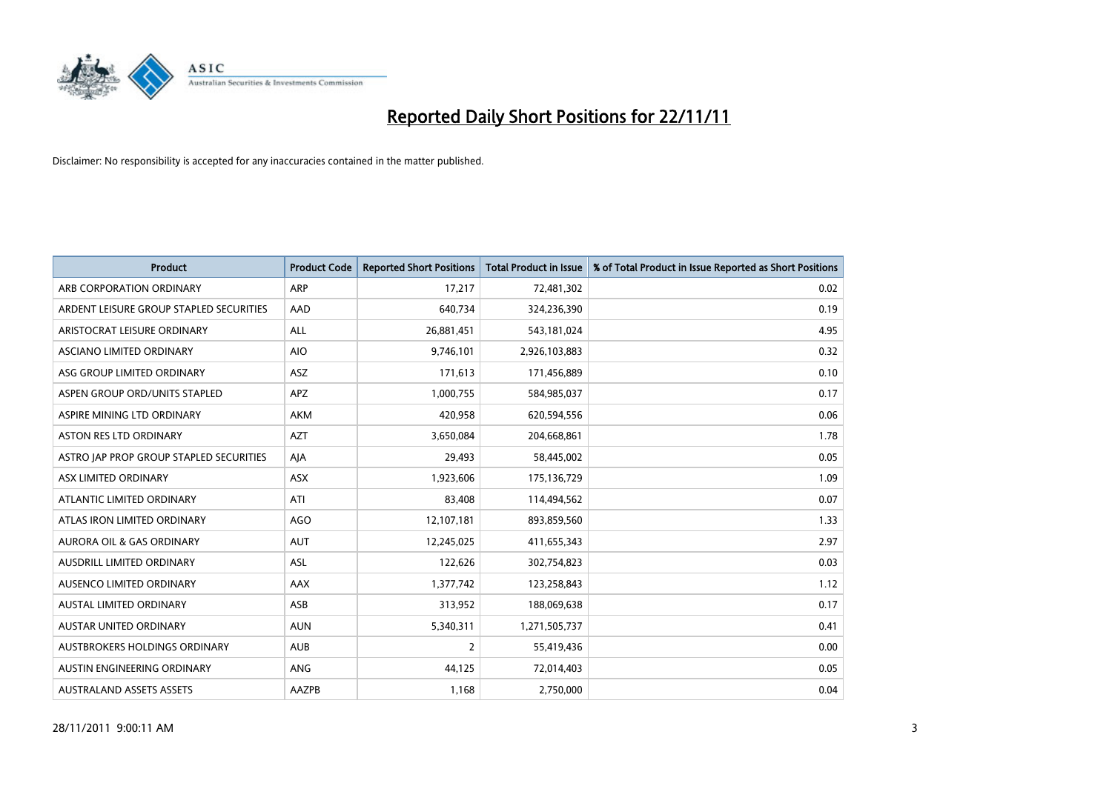

| <b>Product</b>                          | <b>Product Code</b> | <b>Reported Short Positions</b> | <b>Total Product in Issue</b> | % of Total Product in Issue Reported as Short Positions |
|-----------------------------------------|---------------------|---------------------------------|-------------------------------|---------------------------------------------------------|
| ARB CORPORATION ORDINARY                | ARP                 | 17,217                          | 72,481,302                    | 0.02                                                    |
| ARDENT LEISURE GROUP STAPLED SECURITIES | AAD                 | 640,734                         | 324,236,390                   | 0.19                                                    |
| ARISTOCRAT LEISURE ORDINARY             | <b>ALL</b>          | 26,881,451                      | 543,181,024                   | 4.95                                                    |
| ASCIANO LIMITED ORDINARY                | <b>AIO</b>          | 9,746,101                       | 2,926,103,883                 | 0.32                                                    |
| ASG GROUP LIMITED ORDINARY              | <b>ASZ</b>          | 171,613                         | 171,456,889                   | 0.10                                                    |
| ASPEN GROUP ORD/UNITS STAPLED           | <b>APZ</b>          | 1,000,755                       | 584,985,037                   | 0.17                                                    |
| ASPIRE MINING LTD ORDINARY              | AKM                 | 420,958                         | 620,594,556                   | 0.06                                                    |
| <b>ASTON RES LTD ORDINARY</b>           | <b>AZT</b>          | 3,650,084                       | 204,668,861                   | 1.78                                                    |
| ASTRO JAP PROP GROUP STAPLED SECURITIES | AIA                 | 29,493                          | 58,445,002                    | 0.05                                                    |
| ASX LIMITED ORDINARY                    | <b>ASX</b>          | 1,923,606                       | 175,136,729                   | 1.09                                                    |
| ATLANTIC LIMITED ORDINARY               | ATI                 | 83,408                          | 114,494,562                   | 0.07                                                    |
| ATLAS IRON LIMITED ORDINARY             | <b>AGO</b>          | 12,107,181                      | 893,859,560                   | 1.33                                                    |
| <b>AURORA OIL &amp; GAS ORDINARY</b>    | <b>AUT</b>          | 12,245,025                      | 411,655,343                   | 2.97                                                    |
| <b>AUSDRILL LIMITED ORDINARY</b>        | ASL                 | 122,626                         | 302,754,823                   | 0.03                                                    |
| <b>AUSENCO LIMITED ORDINARY</b>         | AAX                 | 1,377,742                       | 123,258,843                   | 1.12                                                    |
| AUSTAL LIMITED ORDINARY                 | ASB                 | 313,952                         | 188,069,638                   | 0.17                                                    |
| AUSTAR UNITED ORDINARY                  | <b>AUN</b>          | 5,340,311                       | 1,271,505,737                 | 0.41                                                    |
| AUSTBROKERS HOLDINGS ORDINARY           | <b>AUB</b>          | 2                               | 55,419,436                    | 0.00                                                    |
| AUSTIN ENGINEERING ORDINARY             | <b>ANG</b>          | 44,125                          | 72,014,403                    | 0.05                                                    |
| <b>AUSTRALAND ASSETS ASSETS</b>         | AAZPB               | 1,168                           | 2,750,000                     | 0.04                                                    |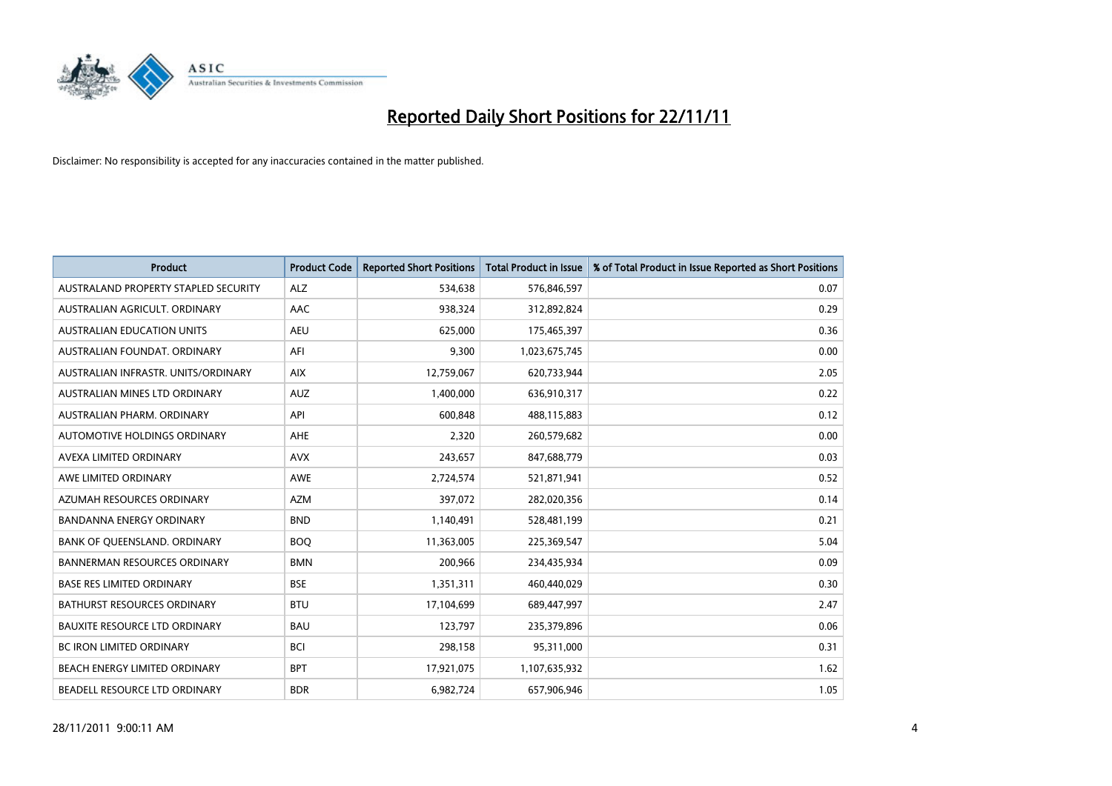

| <b>Product</b>                       | <b>Product Code</b> | <b>Reported Short Positions</b> | <b>Total Product in Issue</b> | % of Total Product in Issue Reported as Short Positions |
|--------------------------------------|---------------------|---------------------------------|-------------------------------|---------------------------------------------------------|
| AUSTRALAND PROPERTY STAPLED SECURITY | <b>ALZ</b>          | 534,638                         | 576,846,597                   | 0.07                                                    |
| AUSTRALIAN AGRICULT. ORDINARY        | AAC                 | 938,324                         | 312,892,824                   | 0.29                                                    |
| <b>AUSTRALIAN EDUCATION UNITS</b>    | <b>AEU</b>          | 625,000                         | 175,465,397                   | 0.36                                                    |
| AUSTRALIAN FOUNDAT. ORDINARY         | AFI                 | 9,300                           | 1,023,675,745                 | 0.00                                                    |
| AUSTRALIAN INFRASTR, UNITS/ORDINARY  | <b>AIX</b>          | 12,759,067                      | 620,733,944                   | 2.05                                                    |
| AUSTRALIAN MINES LTD ORDINARY        | <b>AUZ</b>          | 1,400,000                       | 636,910,317                   | 0.22                                                    |
| AUSTRALIAN PHARM, ORDINARY           | API                 | 600.848                         | 488,115,883                   | 0.12                                                    |
| AUTOMOTIVE HOLDINGS ORDINARY         | <b>AHE</b>          | 2,320                           | 260,579,682                   | 0.00                                                    |
| AVEXA LIMITED ORDINARY               | <b>AVX</b>          | 243,657                         | 847,688,779                   | 0.03                                                    |
| AWE LIMITED ORDINARY                 | AWE                 | 2,724,574                       | 521,871,941                   | 0.52                                                    |
| AZUMAH RESOURCES ORDINARY            | <b>AZM</b>          | 397,072                         | 282,020,356                   | 0.14                                                    |
| <b>BANDANNA ENERGY ORDINARY</b>      | <b>BND</b>          | 1,140,491                       | 528,481,199                   | 0.21                                                    |
| BANK OF QUEENSLAND. ORDINARY         | <b>BOO</b>          | 11,363,005                      | 225,369,547                   | 5.04                                                    |
| <b>BANNERMAN RESOURCES ORDINARY</b>  | <b>BMN</b>          | 200,966                         | 234,435,934                   | 0.09                                                    |
| <b>BASE RES LIMITED ORDINARY</b>     | <b>BSE</b>          | 1,351,311                       | 460,440,029                   | 0.30                                                    |
| <b>BATHURST RESOURCES ORDINARY</b>   | <b>BTU</b>          | 17,104,699                      | 689,447,997                   | 2.47                                                    |
| <b>BAUXITE RESOURCE LTD ORDINARY</b> | <b>BAU</b>          | 123,797                         | 235,379,896                   | 0.06                                                    |
| <b>BC IRON LIMITED ORDINARY</b>      | <b>BCI</b>          | 298,158                         | 95,311,000                    | 0.31                                                    |
| BEACH ENERGY LIMITED ORDINARY        | <b>BPT</b>          | 17,921,075                      | 1,107,635,932                 | 1.62                                                    |
| BEADELL RESOURCE LTD ORDINARY        | <b>BDR</b>          | 6.982.724                       | 657,906,946                   | 1.05                                                    |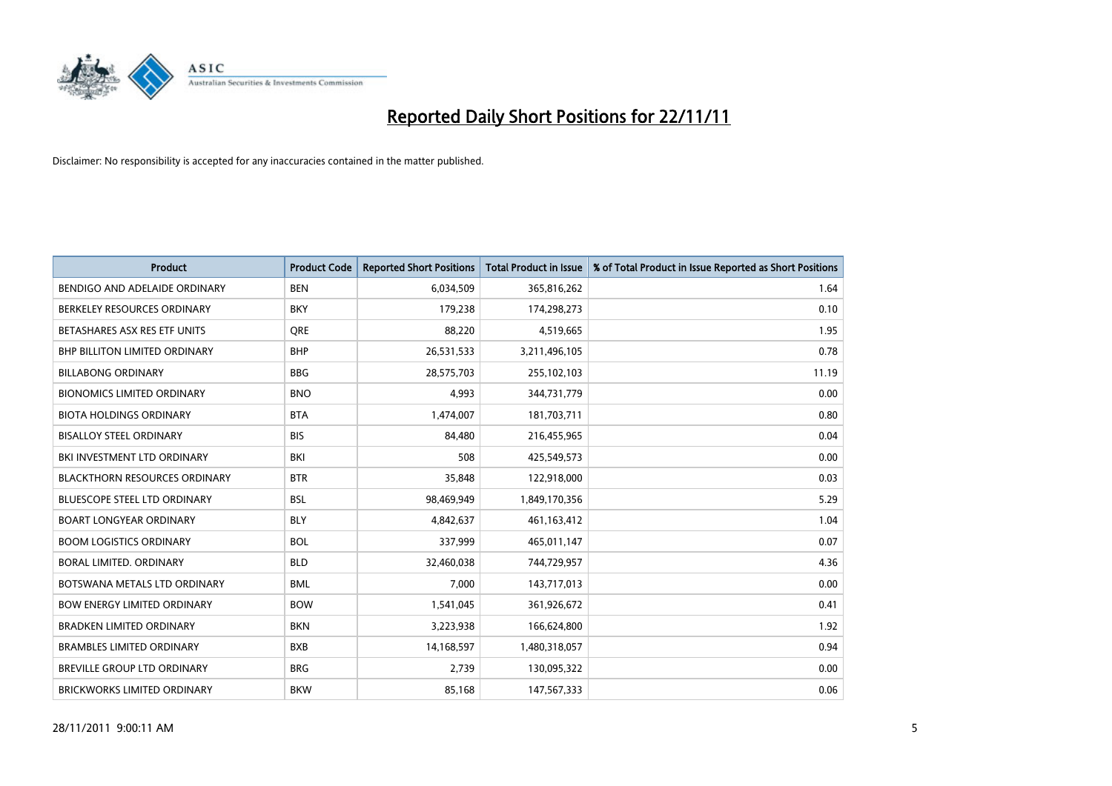

| <b>Product</b>                       | <b>Product Code</b> | <b>Reported Short Positions</b> | <b>Total Product in Issue</b> | % of Total Product in Issue Reported as Short Positions |
|--------------------------------------|---------------------|---------------------------------|-------------------------------|---------------------------------------------------------|
| BENDIGO AND ADELAIDE ORDINARY        | <b>BEN</b>          | 6,034,509                       | 365,816,262                   | 1.64                                                    |
| BERKELEY RESOURCES ORDINARY          | <b>BKY</b>          | 179,238                         | 174,298,273                   | 0.10                                                    |
| BETASHARES ASX RES ETF UNITS         | <b>ORE</b>          | 88,220                          | 4,519,665                     | 1.95                                                    |
| BHP BILLITON LIMITED ORDINARY        | <b>BHP</b>          | 26,531,533                      | 3,211,496,105                 | 0.78                                                    |
| <b>BILLABONG ORDINARY</b>            | <b>BBG</b>          | 28,575,703                      | 255,102,103                   | 11.19                                                   |
| <b>BIONOMICS LIMITED ORDINARY</b>    | <b>BNO</b>          | 4,993                           | 344,731,779                   | 0.00                                                    |
| <b>BIOTA HOLDINGS ORDINARY</b>       | <b>BTA</b>          | 1,474,007                       | 181,703,711                   | 0.80                                                    |
| <b>BISALLOY STEEL ORDINARY</b>       | <b>BIS</b>          | 84,480                          | 216,455,965                   | 0.04                                                    |
| BKI INVESTMENT LTD ORDINARY          | BKI                 | 508                             | 425,549,573                   | 0.00                                                    |
| <b>BLACKTHORN RESOURCES ORDINARY</b> | <b>BTR</b>          | 35,848                          | 122,918,000                   | 0.03                                                    |
| BLUESCOPE STEEL LTD ORDINARY         | <b>BSL</b>          | 98,469,949                      | 1,849,170,356                 | 5.29                                                    |
| <b>BOART LONGYEAR ORDINARY</b>       | <b>BLY</b>          | 4,842,637                       | 461,163,412                   | 1.04                                                    |
| <b>BOOM LOGISTICS ORDINARY</b>       | <b>BOL</b>          | 337,999                         | 465,011,147                   | 0.07                                                    |
| BORAL LIMITED, ORDINARY              | <b>BLD</b>          | 32,460,038                      | 744,729,957                   | 4.36                                                    |
| BOTSWANA METALS LTD ORDINARY         | <b>BML</b>          | 7,000                           | 143,717,013                   | 0.00                                                    |
| <b>BOW ENERGY LIMITED ORDINARY</b>   | <b>BOW</b>          | 1,541,045                       | 361,926,672                   | 0.41                                                    |
| <b>BRADKEN LIMITED ORDINARY</b>      | <b>BKN</b>          | 3,223,938                       | 166,624,800                   | 1.92                                                    |
| <b>BRAMBLES LIMITED ORDINARY</b>     | <b>BXB</b>          | 14,168,597                      | 1,480,318,057                 | 0.94                                                    |
| <b>BREVILLE GROUP LTD ORDINARY</b>   | <b>BRG</b>          | 2,739                           | 130,095,322                   | 0.00                                                    |
| BRICKWORKS LIMITED ORDINARY          | <b>BKW</b>          | 85,168                          | 147,567,333                   | 0.06                                                    |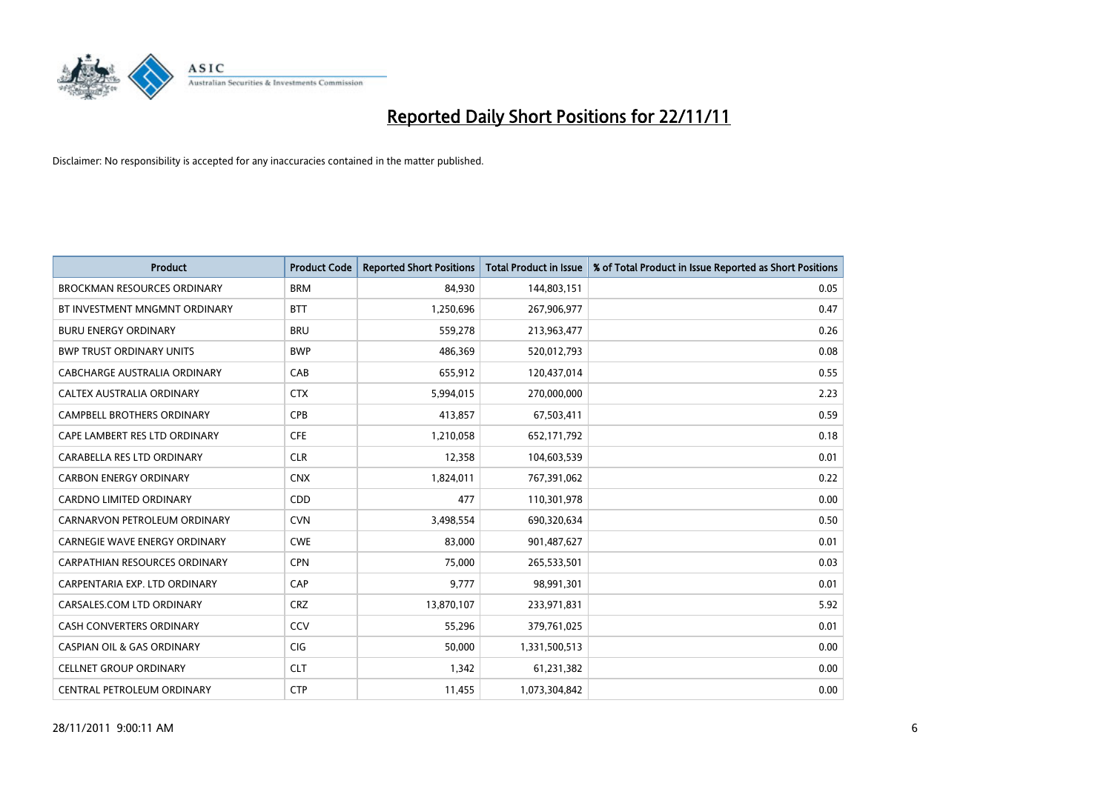

| <b>Product</b>                        | <b>Product Code</b> | <b>Reported Short Positions</b> | <b>Total Product in Issue</b> | % of Total Product in Issue Reported as Short Positions |
|---------------------------------------|---------------------|---------------------------------|-------------------------------|---------------------------------------------------------|
| <b>BROCKMAN RESOURCES ORDINARY</b>    | <b>BRM</b>          | 84,930                          | 144,803,151                   | 0.05                                                    |
| BT INVESTMENT MNGMNT ORDINARY         | <b>BTT</b>          | 1,250,696                       | 267,906,977                   | 0.47                                                    |
| <b>BURU ENERGY ORDINARY</b>           | <b>BRU</b>          | 559,278                         | 213,963,477                   | 0.26                                                    |
| <b>BWP TRUST ORDINARY UNITS</b>       | <b>BWP</b>          | 486,369                         | 520,012,793                   | 0.08                                                    |
| CABCHARGE AUSTRALIA ORDINARY          | CAB                 | 655,912                         | 120,437,014                   | 0.55                                                    |
| CALTEX AUSTRALIA ORDINARY             | <b>CTX</b>          | 5,994,015                       | 270,000,000                   | 2.23                                                    |
| <b>CAMPBELL BROTHERS ORDINARY</b>     | <b>CPB</b>          | 413.857                         | 67,503,411                    | 0.59                                                    |
| CAPE LAMBERT RES LTD ORDINARY         | <b>CFE</b>          | 1,210,058                       | 652,171,792                   | 0.18                                                    |
| CARABELLA RES LTD ORDINARY            | <b>CLR</b>          | 12,358                          | 104,603,539                   | 0.01                                                    |
| <b>CARBON ENERGY ORDINARY</b>         | <b>CNX</b>          | 1,824,011                       | 767,391,062                   | 0.22                                                    |
| <b>CARDNO LIMITED ORDINARY</b>        | <b>CDD</b>          | 477                             | 110,301,978                   | 0.00                                                    |
| CARNARVON PETROLEUM ORDINARY          | <b>CVN</b>          | 3,498,554                       | 690,320,634                   | 0.50                                                    |
| <b>CARNEGIE WAVE ENERGY ORDINARY</b>  | <b>CWE</b>          | 83,000                          | 901,487,627                   | 0.01                                                    |
| <b>CARPATHIAN RESOURCES ORDINARY</b>  | <b>CPN</b>          | 75,000                          | 265,533,501                   | 0.03                                                    |
| CARPENTARIA EXP. LTD ORDINARY         | CAP                 | 9,777                           | 98,991,301                    | 0.01                                                    |
| CARSALES.COM LTD ORDINARY             | <b>CRZ</b>          | 13,870,107                      | 233,971,831                   | 5.92                                                    |
| <b>CASH CONVERTERS ORDINARY</b>       | CCV                 | 55,296                          | 379,761,025                   | 0.01                                                    |
| <b>CASPIAN OIL &amp; GAS ORDINARY</b> | CIG                 | 50,000                          | 1,331,500,513                 | 0.00                                                    |
| <b>CELLNET GROUP ORDINARY</b>         | <b>CLT</b>          | 1,342                           | 61,231,382                    | 0.00                                                    |
| CENTRAL PETROLEUM ORDINARY            | <b>CTP</b>          | 11,455                          | 1,073,304,842                 | 0.00                                                    |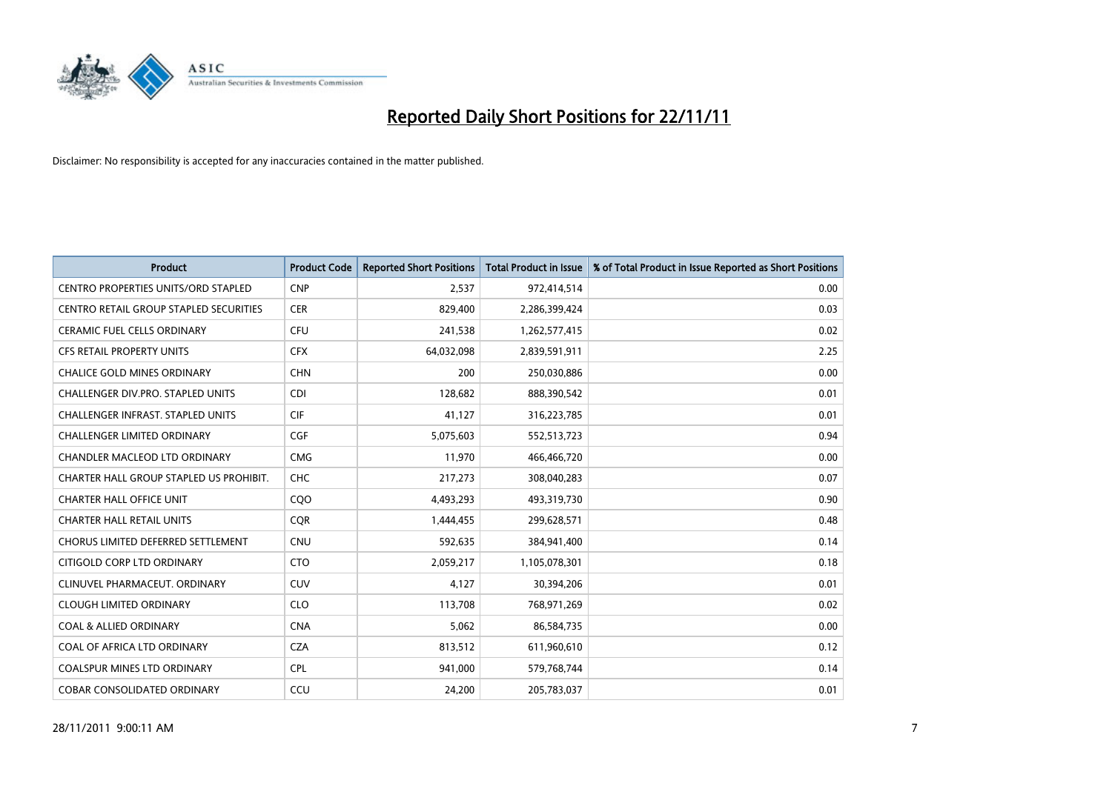

| <b>Product</b>                             | <b>Product Code</b> | <b>Reported Short Positions</b> | <b>Total Product in Issue</b> | % of Total Product in Issue Reported as Short Positions |
|--------------------------------------------|---------------------|---------------------------------|-------------------------------|---------------------------------------------------------|
| <b>CENTRO PROPERTIES UNITS/ORD STAPLED</b> | <b>CNP</b>          | 2,537                           | 972,414,514                   | 0.00                                                    |
| CENTRO RETAIL GROUP STAPLED SECURITIES     | <b>CER</b>          | 829,400                         | 2,286,399,424                 | 0.03                                                    |
| <b>CERAMIC FUEL CELLS ORDINARY</b>         | CFU                 | 241,538                         | 1,262,577,415                 | 0.02                                                    |
| CFS RETAIL PROPERTY UNITS                  | <b>CFX</b>          | 64,032,098                      | 2,839,591,911                 | 2.25                                                    |
| <b>CHALICE GOLD MINES ORDINARY</b>         | <b>CHN</b>          | 200                             | 250,030,886                   | 0.00                                                    |
| <b>CHALLENGER DIV.PRO. STAPLED UNITS</b>   | <b>CDI</b>          | 128,682                         | 888,390,542                   | 0.01                                                    |
| <b>CHALLENGER INFRAST, STAPLED UNITS</b>   | <b>CIF</b>          | 41,127                          | 316,223,785                   | 0.01                                                    |
| <b>CHALLENGER LIMITED ORDINARY</b>         | <b>CGF</b>          | 5,075,603                       | 552,513,723                   | 0.94                                                    |
| CHANDLER MACLEOD LTD ORDINARY              | <b>CMG</b>          | 11,970                          | 466,466,720                   | 0.00                                                    |
| CHARTER HALL GROUP STAPLED US PROHIBIT.    | <b>CHC</b>          | 217,273                         | 308,040,283                   | 0.07                                                    |
| <b>CHARTER HALL OFFICE UNIT</b>            | COO                 | 4,493,293                       | 493,319,730                   | 0.90                                                    |
| <b>CHARTER HALL RETAIL UNITS</b>           | <b>CQR</b>          | 1,444,455                       | 299,628,571                   | 0.48                                                    |
| CHORUS LIMITED DEFERRED SETTLEMENT         | <b>CNU</b>          | 592,635                         | 384,941,400                   | 0.14                                                    |
| CITIGOLD CORP LTD ORDINARY                 | <b>CTO</b>          | 2,059,217                       | 1,105,078,301                 | 0.18                                                    |
| CLINUVEL PHARMACEUT, ORDINARY              | <b>CUV</b>          | 4,127                           | 30,394,206                    | 0.01                                                    |
| <b>CLOUGH LIMITED ORDINARY</b>             | <b>CLO</b>          | 113,708                         | 768,971,269                   | 0.02                                                    |
| <b>COAL &amp; ALLIED ORDINARY</b>          | <b>CNA</b>          | 5,062                           | 86,584,735                    | 0.00                                                    |
| COAL OF AFRICA LTD ORDINARY                | <b>CZA</b>          | 813,512                         | 611,960,610                   | 0.12                                                    |
| <b>COALSPUR MINES LTD ORDINARY</b>         | <b>CPL</b>          | 941,000                         | 579,768,744                   | 0.14                                                    |
| <b>COBAR CONSOLIDATED ORDINARY</b>         | CCU                 | 24.200                          | 205,783,037                   | 0.01                                                    |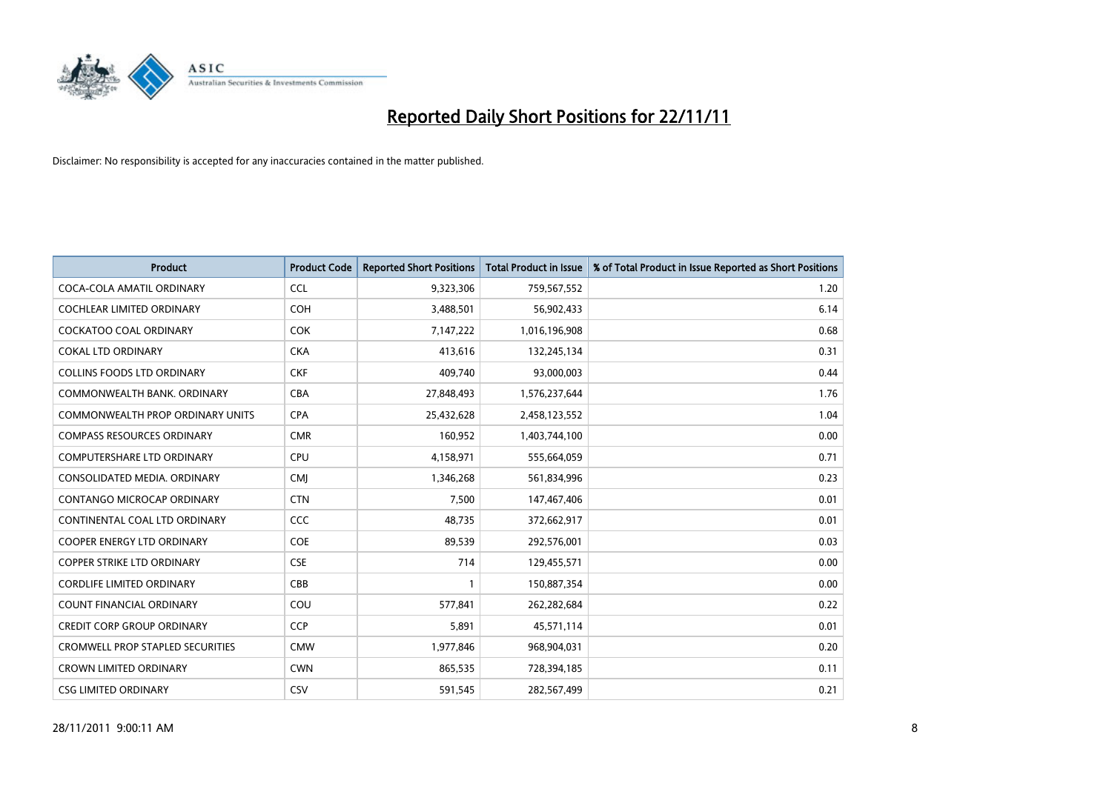

| <b>Product</b>                          | <b>Product Code</b> | <b>Reported Short Positions</b> | <b>Total Product in Issue</b> | % of Total Product in Issue Reported as Short Positions |
|-----------------------------------------|---------------------|---------------------------------|-------------------------------|---------------------------------------------------------|
| COCA-COLA AMATIL ORDINARY               | <b>CCL</b>          | 9,323,306                       | 759,567,552                   | 1.20                                                    |
| COCHLEAR LIMITED ORDINARY               | <b>COH</b>          | 3,488,501                       | 56,902,433                    | 6.14                                                    |
| <b>COCKATOO COAL ORDINARY</b>           | <b>COK</b>          | 7,147,222                       | 1,016,196,908                 | 0.68                                                    |
| <b>COKAL LTD ORDINARY</b>               | <b>CKA</b>          | 413,616                         | 132,245,134                   | 0.31                                                    |
| <b>COLLINS FOODS LTD ORDINARY</b>       | <b>CKF</b>          | 409,740                         | 93,000,003                    | 0.44                                                    |
| COMMONWEALTH BANK, ORDINARY             | <b>CBA</b>          | 27,848,493                      | 1,576,237,644                 | 1.76                                                    |
| COMMONWEALTH PROP ORDINARY UNITS        | <b>CPA</b>          | 25,432,628                      | 2,458,123,552                 | 1.04                                                    |
| <b>COMPASS RESOURCES ORDINARY</b>       | <b>CMR</b>          | 160,952                         | 1,403,744,100                 | 0.00                                                    |
| <b>COMPUTERSHARE LTD ORDINARY</b>       | <b>CPU</b>          | 4,158,971                       | 555,664,059                   | 0.71                                                    |
| CONSOLIDATED MEDIA, ORDINARY            | <b>CMI</b>          | 1,346,268                       | 561,834,996                   | 0.23                                                    |
| CONTANGO MICROCAP ORDINARY              | <b>CTN</b>          | 7,500                           | 147,467,406                   | 0.01                                                    |
| CONTINENTAL COAL LTD ORDINARY           | CCC                 | 48,735                          | 372,662,917                   | 0.01                                                    |
| COOPER ENERGY LTD ORDINARY              | <b>COE</b>          | 89,539                          | 292,576,001                   | 0.03                                                    |
| <b>COPPER STRIKE LTD ORDINARY</b>       | <b>CSE</b>          | 714                             | 129,455,571                   | 0.00                                                    |
| <b>CORDLIFE LIMITED ORDINARY</b>        | CBB                 |                                 | 150,887,354                   | 0.00                                                    |
| COUNT FINANCIAL ORDINARY                | COU                 | 577,841                         | 262,282,684                   | 0.22                                                    |
| <b>CREDIT CORP GROUP ORDINARY</b>       | <b>CCP</b>          | 5,891                           | 45,571,114                    | 0.01                                                    |
| <b>CROMWELL PROP STAPLED SECURITIES</b> | <b>CMW</b>          | 1,977,846                       | 968,904,031                   | 0.20                                                    |
| <b>CROWN LIMITED ORDINARY</b>           | <b>CWN</b>          | 865,535                         | 728,394,185                   | 0.11                                                    |
| <b>CSG LIMITED ORDINARY</b>             | CSV                 | 591,545                         | 282,567,499                   | 0.21                                                    |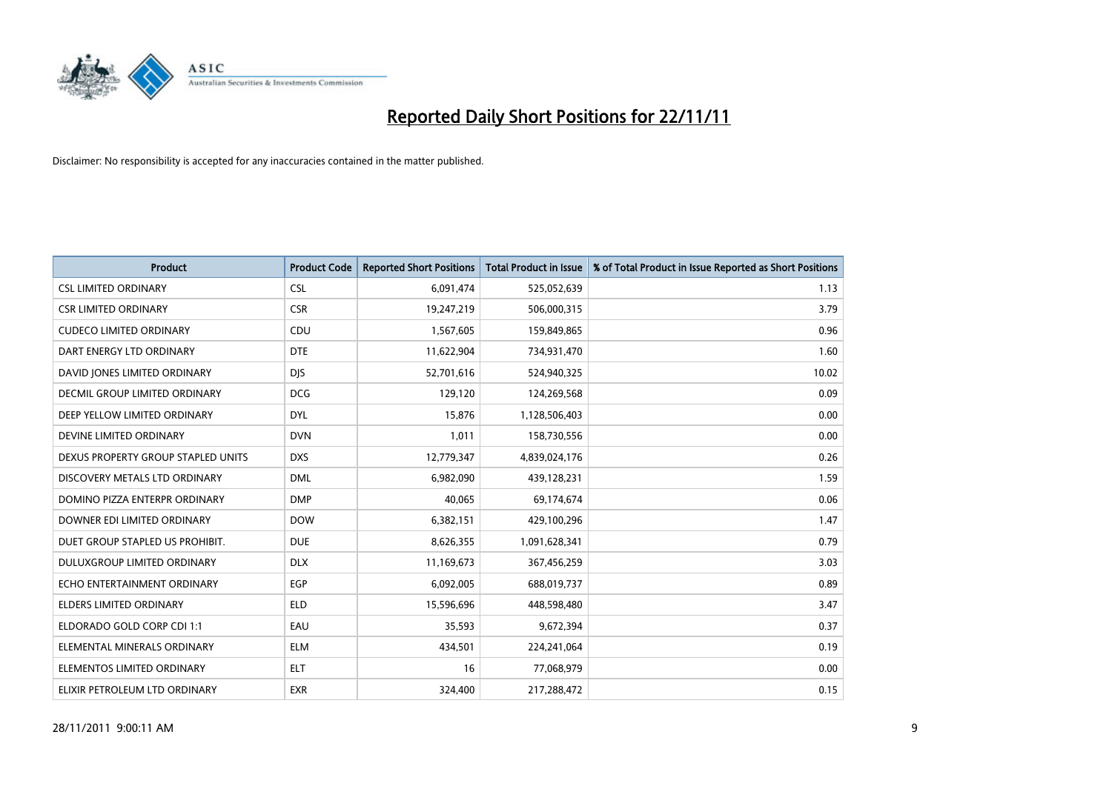

| <b>Product</b>                     | <b>Product Code</b> | <b>Reported Short Positions</b> | <b>Total Product in Issue</b> | % of Total Product in Issue Reported as Short Positions |
|------------------------------------|---------------------|---------------------------------|-------------------------------|---------------------------------------------------------|
| <b>CSL LIMITED ORDINARY</b>        | <b>CSL</b>          | 6,091,474                       | 525,052,639                   | 1.13                                                    |
| <b>CSR LIMITED ORDINARY</b>        | <b>CSR</b>          | 19,247,219                      | 506,000,315                   | 3.79                                                    |
| <b>CUDECO LIMITED ORDINARY</b>     | <b>CDU</b>          | 1,567,605                       | 159,849,865                   | 0.96                                                    |
| DART ENERGY LTD ORDINARY           | <b>DTE</b>          | 11,622,904                      | 734,931,470                   | 1.60                                                    |
| DAVID JONES LIMITED ORDINARY       | <b>DIS</b>          | 52,701,616                      | 524,940,325                   | 10.02                                                   |
| DECMIL GROUP LIMITED ORDINARY      | <b>DCG</b>          | 129,120                         | 124,269,568                   | 0.09                                                    |
| DEEP YELLOW LIMITED ORDINARY       | <b>DYL</b>          | 15,876                          | 1,128,506,403                 | 0.00                                                    |
| DEVINE LIMITED ORDINARY            | <b>DVN</b>          | 1,011                           | 158,730,556                   | 0.00                                                    |
| DEXUS PROPERTY GROUP STAPLED UNITS | <b>DXS</b>          | 12,779,347                      | 4,839,024,176                 | 0.26                                                    |
| DISCOVERY METALS LTD ORDINARY      | <b>DML</b>          | 6,982,090                       | 439,128,231                   | 1.59                                                    |
| DOMINO PIZZA ENTERPR ORDINARY      | <b>DMP</b>          | 40,065                          | 69,174,674                    | 0.06                                                    |
| DOWNER EDI LIMITED ORDINARY        | <b>DOW</b>          | 6,382,151                       | 429,100,296                   | 1.47                                                    |
| DUET GROUP STAPLED US PROHIBIT.    | <b>DUE</b>          | 8,626,355                       | 1,091,628,341                 | 0.79                                                    |
| <b>DULUXGROUP LIMITED ORDINARY</b> | <b>DLX</b>          | 11,169,673                      | 367,456,259                   | 3.03                                                    |
| ECHO ENTERTAINMENT ORDINARY        | EGP                 | 6,092,005                       | 688,019,737                   | 0.89                                                    |
| ELDERS LIMITED ORDINARY            | <b>ELD</b>          | 15,596,696                      | 448,598,480                   | 3.47                                                    |
| ELDORADO GOLD CORP CDI 1:1         | EAU                 | 35,593                          | 9,672,394                     | 0.37                                                    |
| ELEMENTAL MINERALS ORDINARY        | <b>ELM</b>          | 434,501                         | 224,241,064                   | 0.19                                                    |
| ELEMENTOS LIMITED ORDINARY         | <b>ELT</b>          | 16                              | 77,068,979                    | 0.00                                                    |
| ELIXIR PETROLEUM LTD ORDINARY      | <b>EXR</b>          | 324,400                         | 217,288,472                   | 0.15                                                    |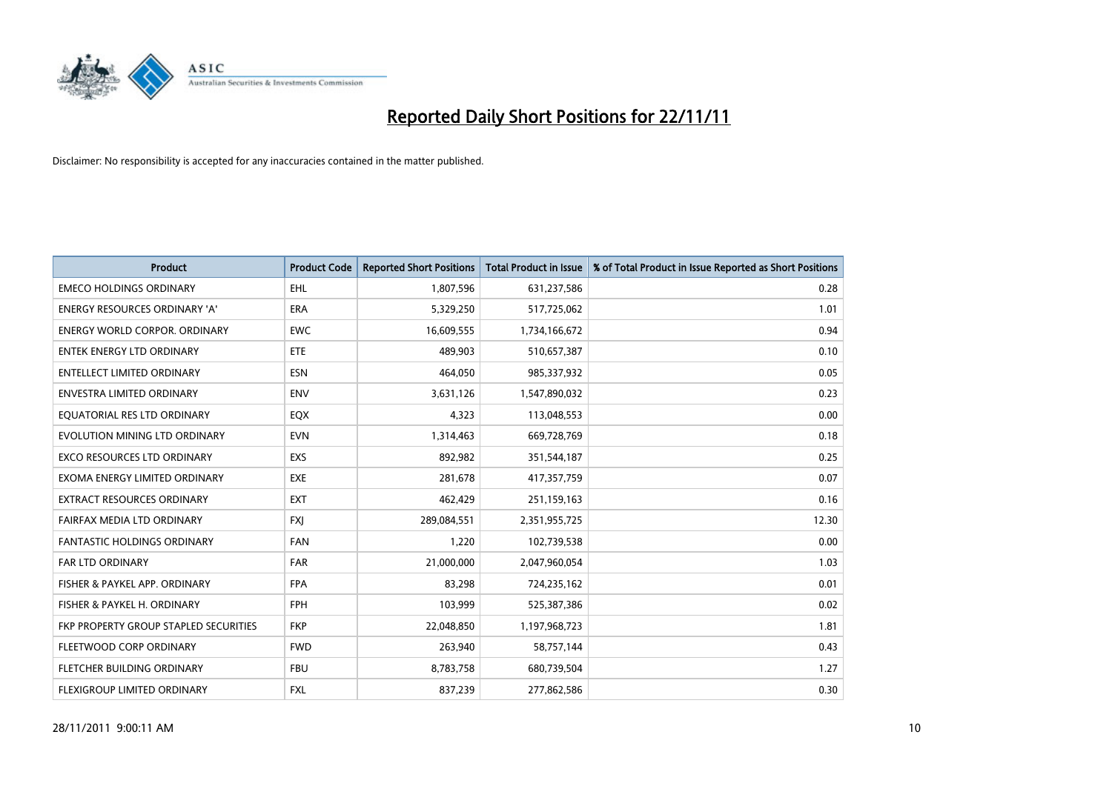

| <b>Product</b>                        | <b>Product Code</b> | <b>Reported Short Positions</b> | <b>Total Product in Issue</b> | % of Total Product in Issue Reported as Short Positions |
|---------------------------------------|---------------------|---------------------------------|-------------------------------|---------------------------------------------------------|
| <b>EMECO HOLDINGS ORDINARY</b>        | <b>EHL</b>          | 1,807,596                       | 631,237,586                   | 0.28                                                    |
| ENERGY RESOURCES ORDINARY 'A'         | <b>ERA</b>          | 5,329,250                       | 517,725,062                   | 1.01                                                    |
| <b>ENERGY WORLD CORPOR, ORDINARY</b>  | <b>EWC</b>          | 16,609,555                      | 1,734,166,672                 | 0.94                                                    |
| ENTEK ENERGY LTD ORDINARY             | <b>ETE</b>          | 489,903                         | 510,657,387                   | 0.10                                                    |
| <b>ENTELLECT LIMITED ORDINARY</b>     | <b>ESN</b>          | 464,050                         | 985,337,932                   | 0.05                                                    |
| <b>ENVESTRA LIMITED ORDINARY</b>      | <b>ENV</b>          | 3,631,126                       | 1,547,890,032                 | 0.23                                                    |
| EQUATORIAL RES LTD ORDINARY           | EQX                 | 4,323                           | 113,048,553                   | 0.00                                                    |
| EVOLUTION MINING LTD ORDINARY         | <b>EVN</b>          | 1,314,463                       | 669,728,769                   | 0.18                                                    |
| EXCO RESOURCES LTD ORDINARY           | EXS                 | 892,982                         | 351,544,187                   | 0.25                                                    |
| EXOMA ENERGY LIMITED ORDINARY         | <b>EXE</b>          | 281,678                         | 417,357,759                   | 0.07                                                    |
| EXTRACT RESOURCES ORDINARY            | <b>EXT</b>          | 462,429                         | 251,159,163                   | 0.16                                                    |
| FAIRFAX MEDIA LTD ORDINARY            | <b>FXI</b>          | 289,084,551                     | 2,351,955,725                 | 12.30                                                   |
| <b>FANTASTIC HOLDINGS ORDINARY</b>    | <b>FAN</b>          | 1,220                           | 102,739,538                   | 0.00                                                    |
| <b>FAR LTD ORDINARY</b>               | <b>FAR</b>          | 21,000,000                      | 2,047,960,054                 | 1.03                                                    |
| FISHER & PAYKEL APP. ORDINARY         | <b>FPA</b>          | 83,298                          | 724,235,162                   | 0.01                                                    |
| FISHER & PAYKEL H. ORDINARY           | <b>FPH</b>          | 103,999                         | 525,387,386                   | 0.02                                                    |
| FKP PROPERTY GROUP STAPLED SECURITIES | <b>FKP</b>          | 22,048,850                      | 1,197,968,723                 | 1.81                                                    |
| FLEETWOOD CORP ORDINARY               | <b>FWD</b>          | 263,940                         | 58,757,144                    | 0.43                                                    |
| FLETCHER BUILDING ORDINARY            | <b>FBU</b>          | 8,783,758                       | 680,739,504                   | 1.27                                                    |
| FLEXIGROUP LIMITED ORDINARY           | <b>FXL</b>          | 837,239                         | 277,862,586                   | 0.30                                                    |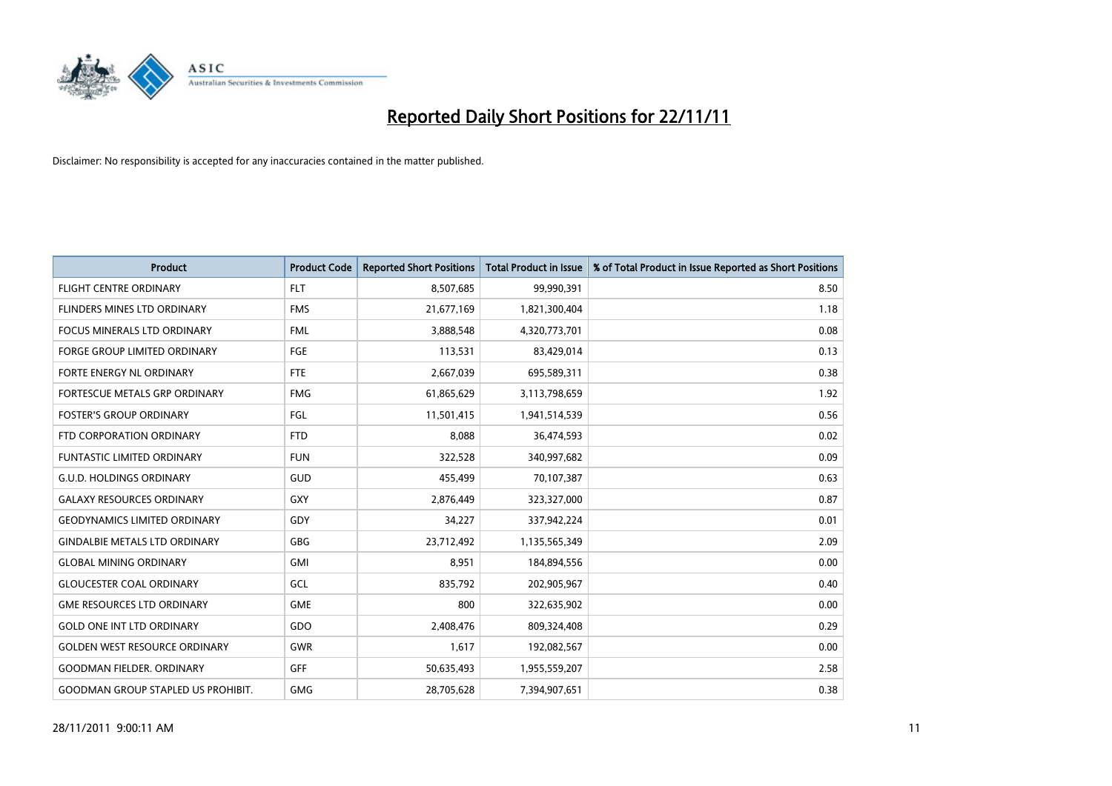

| <b>Product</b>                            | <b>Product Code</b> | <b>Reported Short Positions</b> | <b>Total Product in Issue</b> | % of Total Product in Issue Reported as Short Positions |
|-------------------------------------------|---------------------|---------------------------------|-------------------------------|---------------------------------------------------------|
| <b>FLIGHT CENTRE ORDINARY</b>             | <b>FLT</b>          | 8,507,685                       | 99,990,391                    | 8.50                                                    |
| FLINDERS MINES LTD ORDINARY               | <b>FMS</b>          | 21,677,169                      | 1,821,300,404                 | 1.18                                                    |
| <b>FOCUS MINERALS LTD ORDINARY</b>        | <b>FML</b>          | 3,888,548                       | 4,320,773,701                 | 0.08                                                    |
| <b>FORGE GROUP LIMITED ORDINARY</b>       | FGE                 | 113,531                         | 83,429,014                    | 0.13                                                    |
| FORTE ENERGY NL ORDINARY                  | <b>FTE</b>          | 2,667,039                       | 695,589,311                   | 0.38                                                    |
| <b>FORTESCUE METALS GRP ORDINARY</b>      | <b>FMG</b>          | 61,865,629                      | 3,113,798,659                 | 1.92                                                    |
| <b>FOSTER'S GROUP ORDINARY</b>            | <b>FGL</b>          | 11,501,415                      | 1,941,514,539                 | 0.56                                                    |
| FTD CORPORATION ORDINARY                  | <b>FTD</b>          | 8,088                           | 36,474,593                    | 0.02                                                    |
| FUNTASTIC LIMITED ORDINARY                | <b>FUN</b>          | 322,528                         | 340,997,682                   | 0.09                                                    |
| <b>G.U.D. HOLDINGS ORDINARY</b>           | <b>GUD</b>          | 455,499                         | 70,107,387                    | 0.63                                                    |
| <b>GALAXY RESOURCES ORDINARY</b>          | GXY                 | 2,876,449                       | 323,327,000                   | 0.87                                                    |
| <b>GEODYNAMICS LIMITED ORDINARY</b>       | GDY                 | 34,227                          | 337,942,224                   | 0.01                                                    |
| <b>GINDALBIE METALS LTD ORDINARY</b>      | <b>GBG</b>          | 23,712,492                      | 1,135,565,349                 | 2.09                                                    |
| <b>GLOBAL MINING ORDINARY</b>             | GMI                 | 8,951                           | 184,894,556                   | 0.00                                                    |
| <b>GLOUCESTER COAL ORDINARY</b>           | GCL                 | 835,792                         | 202,905,967                   | 0.40                                                    |
| <b>GME RESOURCES LTD ORDINARY</b>         | <b>GME</b>          | 800                             | 322,635,902                   | 0.00                                                    |
| <b>GOLD ONE INT LTD ORDINARY</b>          | GDO                 | 2,408,476                       | 809,324,408                   | 0.29                                                    |
| <b>GOLDEN WEST RESOURCE ORDINARY</b>      | <b>GWR</b>          | 1,617                           | 192,082,567                   | 0.00                                                    |
| <b>GOODMAN FIELDER, ORDINARY</b>          | <b>GFF</b>          | 50,635,493                      | 1,955,559,207                 | 2.58                                                    |
| <b>GOODMAN GROUP STAPLED US PROHIBIT.</b> | <b>GMG</b>          | 28,705,628                      | 7,394,907,651                 | 0.38                                                    |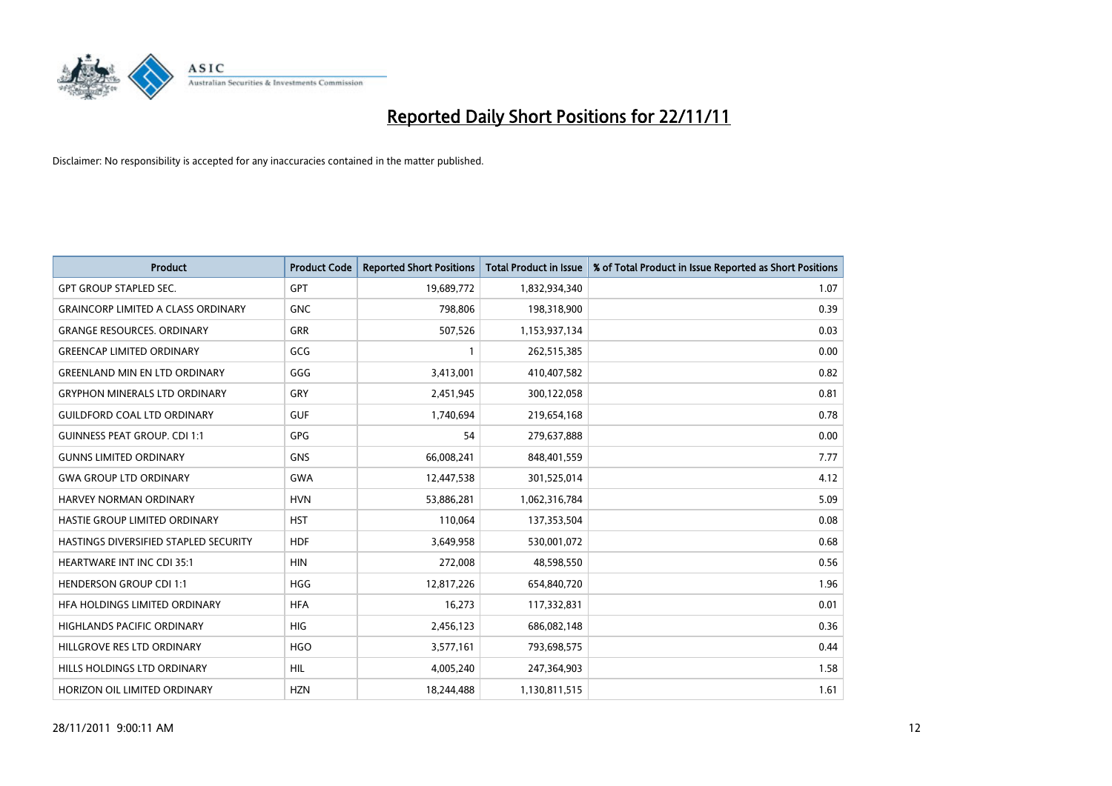

| <b>Product</b>                            | <b>Product Code</b> | <b>Reported Short Positions</b> | <b>Total Product in Issue</b> | % of Total Product in Issue Reported as Short Positions |
|-------------------------------------------|---------------------|---------------------------------|-------------------------------|---------------------------------------------------------|
| <b>GPT GROUP STAPLED SEC.</b>             | GPT                 | 19,689,772                      | 1,832,934,340                 | 1.07                                                    |
| <b>GRAINCORP LIMITED A CLASS ORDINARY</b> | <b>GNC</b>          | 798,806                         | 198,318,900                   | 0.39                                                    |
| <b>GRANGE RESOURCES, ORDINARY</b>         | <b>GRR</b>          | 507,526                         | 1,153,937,134                 | 0.03                                                    |
| <b>GREENCAP LIMITED ORDINARY</b>          | GCG                 |                                 | 262,515,385                   | 0.00                                                    |
| <b>GREENLAND MIN EN LTD ORDINARY</b>      | GGG                 | 3,413,001                       | 410,407,582                   | 0.82                                                    |
| <b>GRYPHON MINERALS LTD ORDINARY</b>      | GRY                 | 2,451,945                       | 300,122,058                   | 0.81                                                    |
| <b>GUILDFORD COAL LTD ORDINARY</b>        | <b>GUF</b>          | 1,740,694                       | 219,654,168                   | 0.78                                                    |
| <b>GUINNESS PEAT GROUP. CDI 1:1</b>       | GPG                 | 54                              | 279,637,888                   | 0.00                                                    |
| <b>GUNNS LIMITED ORDINARY</b>             | <b>GNS</b>          | 66,008,241                      | 848,401,559                   | 7.77                                                    |
| <b>GWA GROUP LTD ORDINARY</b>             | <b>GWA</b>          | 12,447,538                      | 301,525,014                   | 4.12                                                    |
| <b>HARVEY NORMAN ORDINARY</b>             | <b>HVN</b>          | 53,886,281                      | 1,062,316,784                 | 5.09                                                    |
| HASTIE GROUP LIMITED ORDINARY             | <b>HST</b>          | 110,064                         | 137,353,504                   | 0.08                                                    |
| HASTINGS DIVERSIFIED STAPLED SECURITY     | <b>HDF</b>          | 3,649,958                       | 530,001,072                   | 0.68                                                    |
| <b>HEARTWARE INT INC CDI 35:1</b>         | <b>HIN</b>          | 272,008                         | 48,598,550                    | 0.56                                                    |
| <b>HENDERSON GROUP CDI 1:1</b>            | <b>HGG</b>          | 12,817,226                      | 654,840,720                   | 1.96                                                    |
| HFA HOLDINGS LIMITED ORDINARY             | <b>HFA</b>          | 16,273                          | 117,332,831                   | 0.01                                                    |
| <b>HIGHLANDS PACIFIC ORDINARY</b>         | <b>HIG</b>          | 2,456,123                       | 686,082,148                   | 0.36                                                    |
| HILLGROVE RES LTD ORDINARY                | <b>HGO</b>          | 3,577,161                       | 793,698,575                   | 0.44                                                    |
| HILLS HOLDINGS LTD ORDINARY               | <b>HIL</b>          | 4,005,240                       | 247,364,903                   | 1.58                                                    |
| HORIZON OIL LIMITED ORDINARY              | <b>HZN</b>          | 18,244,488                      | 1,130,811,515                 | 1.61                                                    |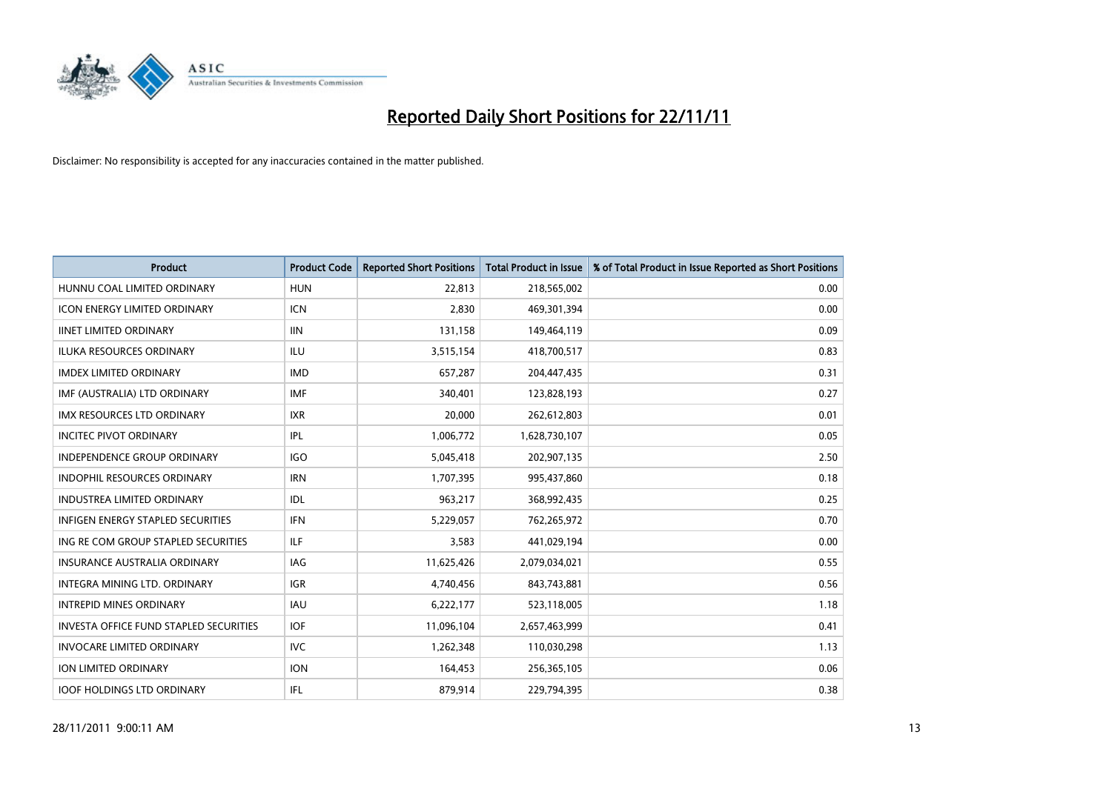

| <b>Product</b>                                | <b>Product Code</b> | <b>Reported Short Positions</b> | <b>Total Product in Issue</b> | % of Total Product in Issue Reported as Short Positions |
|-----------------------------------------------|---------------------|---------------------------------|-------------------------------|---------------------------------------------------------|
| HUNNU COAL LIMITED ORDINARY                   | <b>HUN</b>          | 22,813                          | 218,565,002                   | 0.00                                                    |
| <b>ICON ENERGY LIMITED ORDINARY</b>           | <b>ICN</b>          | 2,830                           | 469,301,394                   | 0.00                                                    |
| <b>IINET LIMITED ORDINARY</b>                 | <b>IIN</b>          | 131,158                         | 149,464,119                   | 0.09                                                    |
| ILUKA RESOURCES ORDINARY                      | ILU                 | 3,515,154                       | 418,700,517                   | 0.83                                                    |
| <b>IMDEX LIMITED ORDINARY</b>                 | <b>IMD</b>          | 657,287                         | 204,447,435                   | 0.31                                                    |
| IMF (AUSTRALIA) LTD ORDINARY                  | <b>IMF</b>          | 340,401                         | 123,828,193                   | 0.27                                                    |
| <b>IMX RESOURCES LTD ORDINARY</b>             | <b>IXR</b>          | 20,000                          | 262,612,803                   | 0.01                                                    |
| <b>INCITEC PIVOT ORDINARY</b>                 | <b>IPL</b>          | 1,006,772                       | 1,628,730,107                 | 0.05                                                    |
| <b>INDEPENDENCE GROUP ORDINARY</b>            | <b>IGO</b>          | 5,045,418                       | 202,907,135                   | 2.50                                                    |
| <b>INDOPHIL RESOURCES ORDINARY</b>            | <b>IRN</b>          | 1,707,395                       | 995,437,860                   | 0.18                                                    |
| INDUSTREA LIMITED ORDINARY                    | IDL                 | 963,217                         | 368,992,435                   | 0.25                                                    |
| <b>INFIGEN ENERGY STAPLED SECURITIES</b>      | <b>IFN</b>          | 5,229,057                       | 762,265,972                   | 0.70                                                    |
| ING RE COM GROUP STAPLED SECURITIES           | ILF.                | 3,583                           | 441,029,194                   | 0.00                                                    |
| <b>INSURANCE AUSTRALIA ORDINARY</b>           | IAG                 | 11,625,426                      | 2,079,034,021                 | 0.55                                                    |
| <b>INTEGRA MINING LTD, ORDINARY</b>           | <b>IGR</b>          | 4,740,456                       | 843,743,881                   | 0.56                                                    |
| <b>INTREPID MINES ORDINARY</b>                | <b>IAU</b>          | 6,222,177                       | 523,118,005                   | 1.18                                                    |
| <b>INVESTA OFFICE FUND STAPLED SECURITIES</b> | <b>IOF</b>          | 11,096,104                      | 2,657,463,999                 | 0.41                                                    |
| <b>INVOCARE LIMITED ORDINARY</b>              | IVC                 | 1,262,348                       | 110,030,298                   | 1.13                                                    |
| <b>ION LIMITED ORDINARY</b>                   | <b>ION</b>          | 164,453                         | 256,365,105                   | 0.06                                                    |
| <b>IOOF HOLDINGS LTD ORDINARY</b>             | <b>IFL</b>          | 879,914                         | 229,794,395                   | 0.38                                                    |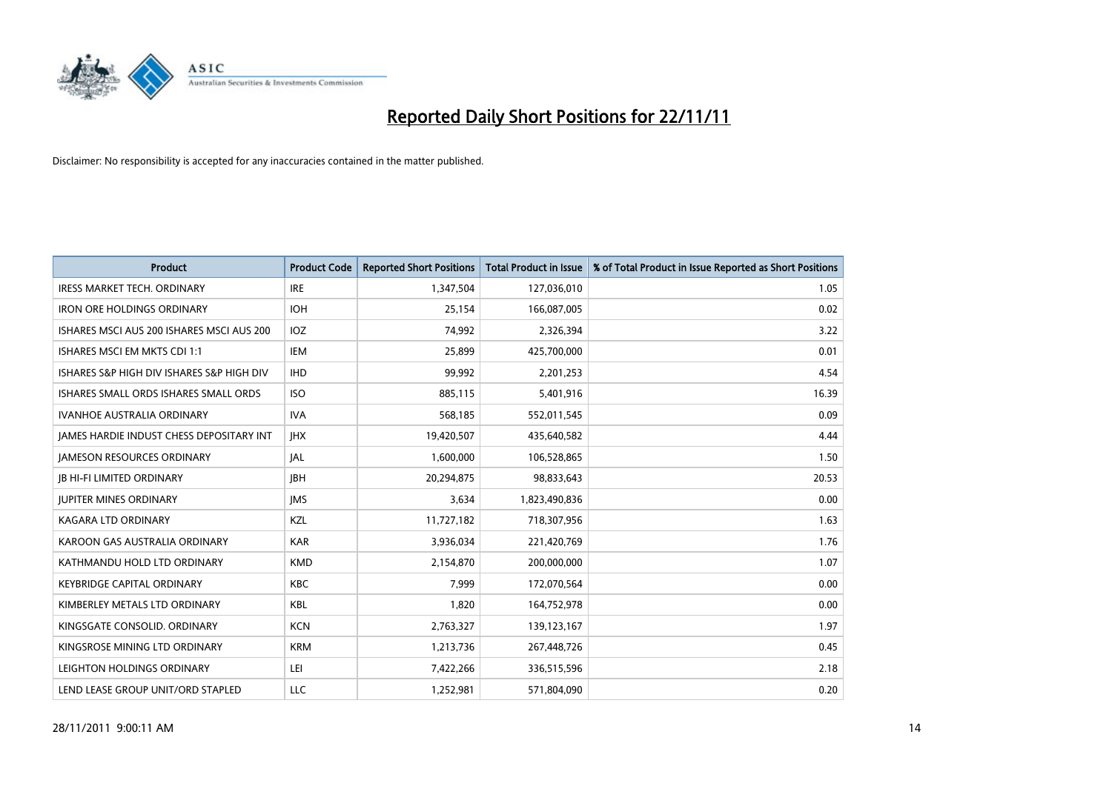

| <b>Product</b>                                  | <b>Product Code</b> | <b>Reported Short Positions</b> | <b>Total Product in Issue</b> | % of Total Product in Issue Reported as Short Positions |
|-------------------------------------------------|---------------------|---------------------------------|-------------------------------|---------------------------------------------------------|
| <b>IRESS MARKET TECH. ORDINARY</b>              | <b>IRE</b>          | 1,347,504                       | 127,036,010                   | 1.05                                                    |
| <b>IRON ORE HOLDINGS ORDINARY</b>               | <b>IOH</b>          | 25,154                          | 166,087,005                   | 0.02                                                    |
| ISHARES MSCI AUS 200 ISHARES MSCI AUS 200       | <b>IOZ</b>          | 74,992                          | 2,326,394                     | 3.22                                                    |
| ISHARES MSCI EM MKTS CDI 1:1                    | <b>IEM</b>          | 25,899                          | 425,700,000                   | 0.01                                                    |
| ISHARES S&P HIGH DIV ISHARES S&P HIGH DIV       | <b>IHD</b>          | 99,992                          | 2,201,253                     | 4.54                                                    |
| ISHARES SMALL ORDS ISHARES SMALL ORDS           | <b>ISO</b>          | 885,115                         | 5,401,916                     | 16.39                                                   |
| <b>IVANHOE AUSTRALIA ORDINARY</b>               | <b>IVA</b>          | 568,185                         | 552,011,545                   | 0.09                                                    |
| <b>JAMES HARDIE INDUST CHESS DEPOSITARY INT</b> | <b>IHX</b>          | 19,420,507                      | 435,640,582                   | 4.44                                                    |
| <b>JAMESON RESOURCES ORDINARY</b>               | <b>JAL</b>          | 1,600,000                       | 106,528,865                   | 1.50                                                    |
| <b>IB HI-FI LIMITED ORDINARY</b>                | <b>IBH</b>          | 20,294,875                      | 98,833,643                    | 20.53                                                   |
| <b>JUPITER MINES ORDINARY</b>                   | <b>IMS</b>          | 3,634                           | 1,823,490,836                 | 0.00                                                    |
| <b>KAGARA LTD ORDINARY</b>                      | <b>KZL</b>          | 11,727,182                      | 718,307,956                   | 1.63                                                    |
| KAROON GAS AUSTRALIA ORDINARY                   | <b>KAR</b>          | 3,936,034                       | 221,420,769                   | 1.76                                                    |
| KATHMANDU HOLD LTD ORDINARY                     | <b>KMD</b>          | 2,154,870                       | 200,000,000                   | 1.07                                                    |
| <b>KEYBRIDGE CAPITAL ORDINARY</b>               | <b>KBC</b>          | 7,999                           | 172,070,564                   | 0.00                                                    |
| KIMBERLEY METALS LTD ORDINARY                   | <b>KBL</b>          | 1,820                           | 164,752,978                   | 0.00                                                    |
| KINGSGATE CONSOLID. ORDINARY                    | <b>KCN</b>          | 2,763,327                       | 139,123,167                   | 1.97                                                    |
| KINGSROSE MINING LTD ORDINARY                   | <b>KRM</b>          | 1,213,736                       | 267,448,726                   | 0.45                                                    |
| LEIGHTON HOLDINGS ORDINARY                      | LEI                 | 7,422,266                       | 336,515,596                   | 2.18                                                    |
| LEND LEASE GROUP UNIT/ORD STAPLED               | LLC                 | 1.252.981                       | 571,804,090                   | 0.20                                                    |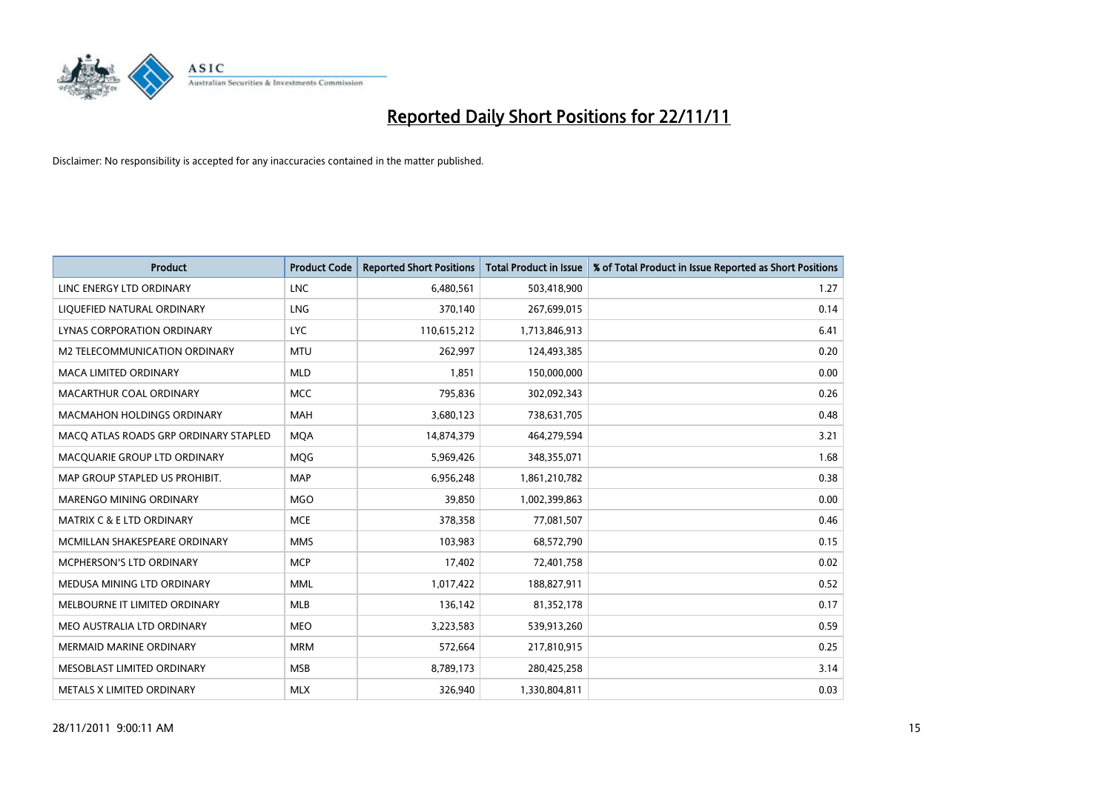

| <b>Product</b>                        | <b>Product Code</b> | <b>Reported Short Positions</b> | <b>Total Product in Issue</b> | % of Total Product in Issue Reported as Short Positions |
|---------------------------------------|---------------------|---------------------------------|-------------------------------|---------------------------------------------------------|
| LINC ENERGY LTD ORDINARY              | <b>LNC</b>          | 6,480,561                       | 503,418,900                   | 1.27                                                    |
| LIQUEFIED NATURAL ORDINARY            | LNG                 | 370,140                         | 267,699,015                   | 0.14                                                    |
| LYNAS CORPORATION ORDINARY            | <b>LYC</b>          | 110,615,212                     | 1,713,846,913                 | 6.41                                                    |
| M2 TELECOMMUNICATION ORDINARY         | <b>MTU</b>          | 262,997                         | 124,493,385                   | 0.20                                                    |
| <b>MACA LIMITED ORDINARY</b>          | <b>MLD</b>          | 1,851                           | 150,000,000                   | 0.00                                                    |
| MACARTHUR COAL ORDINARY               | <b>MCC</b>          | 795,836                         | 302,092,343                   | 0.26                                                    |
| <b>MACMAHON HOLDINGS ORDINARY</b>     | <b>MAH</b>          | 3,680,123                       | 738,631,705                   | 0.48                                                    |
| MACO ATLAS ROADS GRP ORDINARY STAPLED | <b>MQA</b>          | 14,874,379                      | 464,279,594                   | 3.21                                                    |
| MACQUARIE GROUP LTD ORDINARY          | <b>MOG</b>          | 5,969,426                       | 348,355,071                   | 1.68                                                    |
| MAP GROUP STAPLED US PROHIBIT.        | <b>MAP</b>          | 6,956,248                       | 1,861,210,782                 | 0.38                                                    |
| <b>MARENGO MINING ORDINARY</b>        | <b>MGO</b>          | 39,850                          | 1,002,399,863                 | 0.00                                                    |
| <b>MATRIX C &amp; E LTD ORDINARY</b>  | <b>MCE</b>          | 378,358                         | 77,081,507                    | 0.46                                                    |
| MCMILLAN SHAKESPEARE ORDINARY         | <b>MMS</b>          | 103,983                         | 68,572,790                    | 0.15                                                    |
| <b>MCPHERSON'S LTD ORDINARY</b>       | <b>MCP</b>          | 17,402                          | 72,401,758                    | 0.02                                                    |
| MEDUSA MINING LTD ORDINARY            | <b>MML</b>          | 1,017,422                       | 188,827,911                   | 0.52                                                    |
| MELBOURNE IT LIMITED ORDINARY         | <b>MLB</b>          | 136,142                         | 81,352,178                    | 0.17                                                    |
| MEO AUSTRALIA LTD ORDINARY            | <b>MEO</b>          | 3,223,583                       | 539,913,260                   | 0.59                                                    |
| <b>MERMAID MARINE ORDINARY</b>        | <b>MRM</b>          | 572,664                         | 217,810,915                   | 0.25                                                    |
| MESOBLAST LIMITED ORDINARY            | <b>MSB</b>          | 8,789,173                       | 280,425,258                   | 3.14                                                    |
| METALS X LIMITED ORDINARY             | <b>MLX</b>          | 326.940                         | 1,330,804,811                 | 0.03                                                    |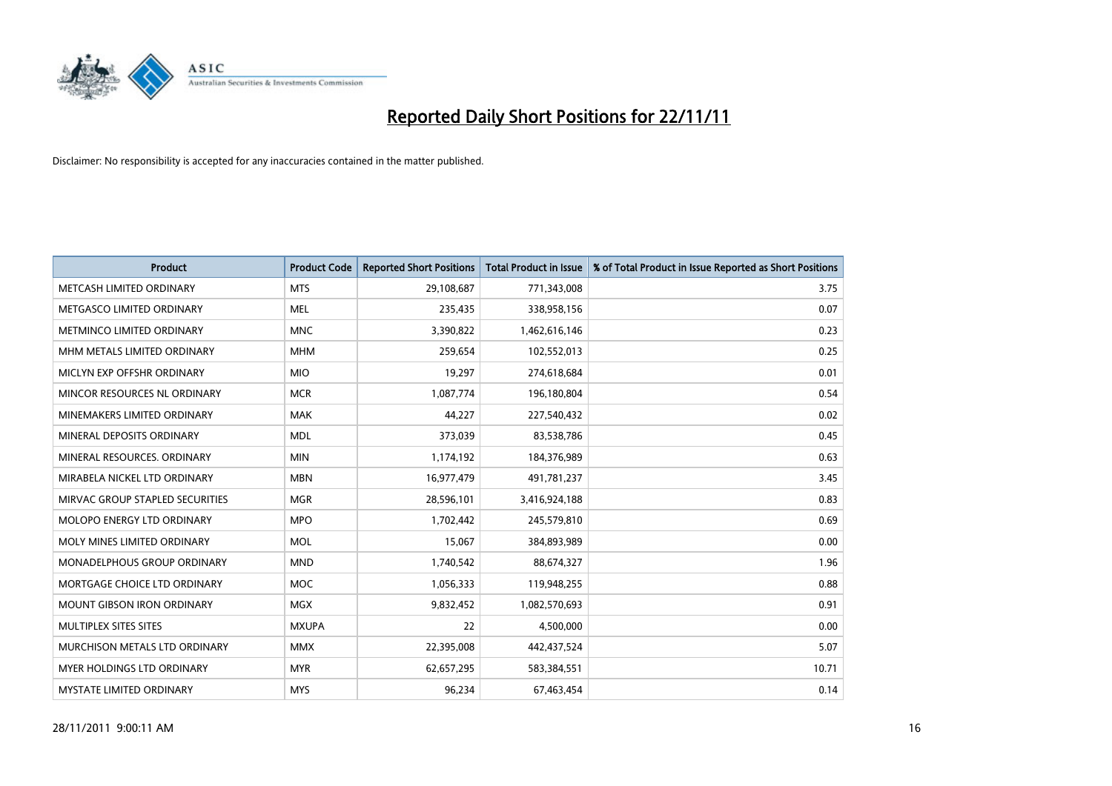

| <b>Product</b>                     | <b>Product Code</b> | <b>Reported Short Positions</b> | <b>Total Product in Issue</b> | % of Total Product in Issue Reported as Short Positions |
|------------------------------------|---------------------|---------------------------------|-------------------------------|---------------------------------------------------------|
| METCASH LIMITED ORDINARY           | <b>MTS</b>          | 29,108,687                      | 771,343,008                   | 3.75                                                    |
| METGASCO LIMITED ORDINARY          | <b>MEL</b>          | 235,435                         | 338,958,156                   | 0.07                                                    |
| METMINCO LIMITED ORDINARY          | <b>MNC</b>          | 3,390,822                       | 1,462,616,146                 | 0.23                                                    |
| MHM METALS LIMITED ORDINARY        | <b>MHM</b>          | 259,654                         | 102,552,013                   | 0.25                                                    |
| MICLYN EXP OFFSHR ORDINARY         | <b>MIO</b>          | 19,297                          | 274,618,684                   | 0.01                                                    |
| MINCOR RESOURCES NL ORDINARY       | <b>MCR</b>          | 1,087,774                       | 196,180,804                   | 0.54                                                    |
| MINEMAKERS LIMITED ORDINARY        | <b>MAK</b>          | 44,227                          | 227,540,432                   | 0.02                                                    |
| MINERAL DEPOSITS ORDINARY          | <b>MDL</b>          | 373,039                         | 83,538,786                    | 0.45                                                    |
| MINERAL RESOURCES, ORDINARY        | <b>MIN</b>          | 1,174,192                       | 184,376,989                   | 0.63                                                    |
| MIRABELA NICKEL LTD ORDINARY       | <b>MBN</b>          | 16,977,479                      | 491,781,237                   | 3.45                                                    |
| MIRVAC GROUP STAPLED SECURITIES    | <b>MGR</b>          | 28,596,101                      | 3,416,924,188                 | 0.83                                                    |
| <b>MOLOPO ENERGY LTD ORDINARY</b>  | <b>MPO</b>          | 1,702,442                       | 245,579,810                   | 0.69                                                    |
| MOLY MINES LIMITED ORDINARY        | <b>MOL</b>          | 15,067                          | 384,893,989                   | 0.00                                                    |
| <b>MONADELPHOUS GROUP ORDINARY</b> | <b>MND</b>          | 1,740,542                       | 88,674,327                    | 1.96                                                    |
| MORTGAGE CHOICE LTD ORDINARY       | <b>MOC</b>          | 1,056,333                       | 119,948,255                   | 0.88                                                    |
| MOUNT GIBSON IRON ORDINARY         | <b>MGX</b>          | 9,832,452                       | 1,082,570,693                 | 0.91                                                    |
| MULTIPLEX SITES SITES              | <b>MXUPA</b>        | 22                              | 4,500,000                     | 0.00                                                    |
| MURCHISON METALS LTD ORDINARY      | <b>MMX</b>          | 22,395,008                      | 442,437,524                   | 5.07                                                    |
| <b>MYER HOLDINGS LTD ORDINARY</b>  | <b>MYR</b>          | 62,657,295                      | 583,384,551                   | 10.71                                                   |
| MYSTATE LIMITED ORDINARY           | <b>MYS</b>          | 96,234                          | 67,463,454                    | 0.14                                                    |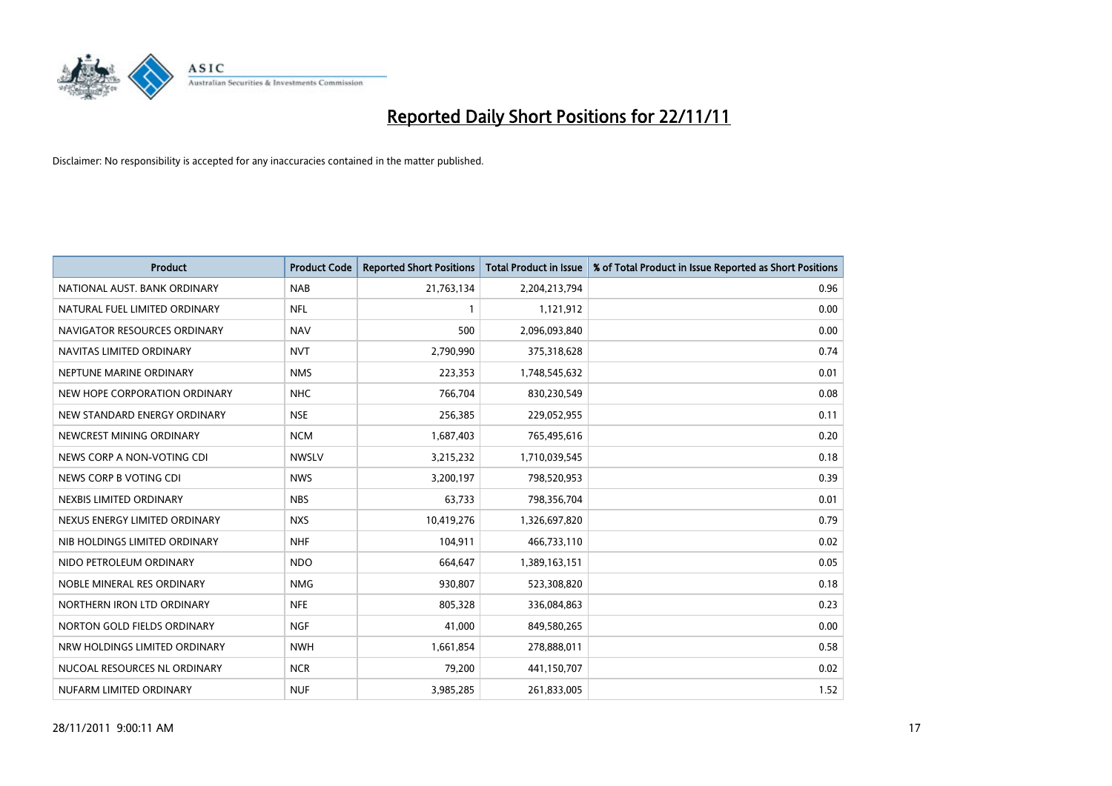

| <b>Product</b>                | <b>Product Code</b> | <b>Reported Short Positions</b> | <b>Total Product in Issue</b> | % of Total Product in Issue Reported as Short Positions |
|-------------------------------|---------------------|---------------------------------|-------------------------------|---------------------------------------------------------|
| NATIONAL AUST, BANK ORDINARY  | <b>NAB</b>          | 21,763,134                      | 2,204,213,794                 | 0.96                                                    |
| NATURAL FUEL LIMITED ORDINARY | <b>NFL</b>          |                                 | 1,121,912                     | 0.00                                                    |
| NAVIGATOR RESOURCES ORDINARY  | <b>NAV</b>          | 500                             | 2,096,093,840                 | 0.00                                                    |
| NAVITAS LIMITED ORDINARY      | <b>NVT</b>          | 2,790,990                       | 375,318,628                   | 0.74                                                    |
| NEPTUNE MARINE ORDINARY       | <b>NMS</b>          | 223,353                         | 1,748,545,632                 | 0.01                                                    |
| NEW HOPE CORPORATION ORDINARY | <b>NHC</b>          | 766,704                         | 830,230,549                   | 0.08                                                    |
| NEW STANDARD ENERGY ORDINARY  | <b>NSE</b>          | 256,385                         | 229,052,955                   | 0.11                                                    |
| NEWCREST MINING ORDINARY      | <b>NCM</b>          | 1,687,403                       | 765,495,616                   | 0.20                                                    |
| NEWS CORP A NON-VOTING CDI    | <b>NWSLV</b>        | 3,215,232                       | 1,710,039,545                 | 0.18                                                    |
| NEWS CORP B VOTING CDI        | <b>NWS</b>          | 3,200,197                       | 798,520,953                   | 0.39                                                    |
| NEXBIS LIMITED ORDINARY       | <b>NBS</b>          | 63,733                          | 798,356,704                   | 0.01                                                    |
| NEXUS ENERGY LIMITED ORDINARY | <b>NXS</b>          | 10,419,276                      | 1,326,697,820                 | 0.79                                                    |
| NIB HOLDINGS LIMITED ORDINARY | <b>NHF</b>          | 104,911                         | 466,733,110                   | 0.02                                                    |
| NIDO PETROLEUM ORDINARY       | <b>NDO</b>          | 664,647                         | 1,389,163,151                 | 0.05                                                    |
| NOBLE MINERAL RES ORDINARY    | <b>NMG</b>          | 930,807                         | 523,308,820                   | 0.18                                                    |
| NORTHERN IRON LTD ORDINARY    | <b>NFE</b>          | 805,328                         | 336,084,863                   | 0.23                                                    |
| NORTON GOLD FIELDS ORDINARY   | <b>NGF</b>          | 41,000                          | 849,580,265                   | 0.00                                                    |
| NRW HOLDINGS LIMITED ORDINARY | <b>NWH</b>          | 1,661,854                       | 278,888,011                   | 0.58                                                    |
| NUCOAL RESOURCES NL ORDINARY  | <b>NCR</b>          | 79,200                          | 441,150,707                   | 0.02                                                    |
| NUFARM LIMITED ORDINARY       | <b>NUF</b>          | 3,985,285                       | 261,833,005                   | 1.52                                                    |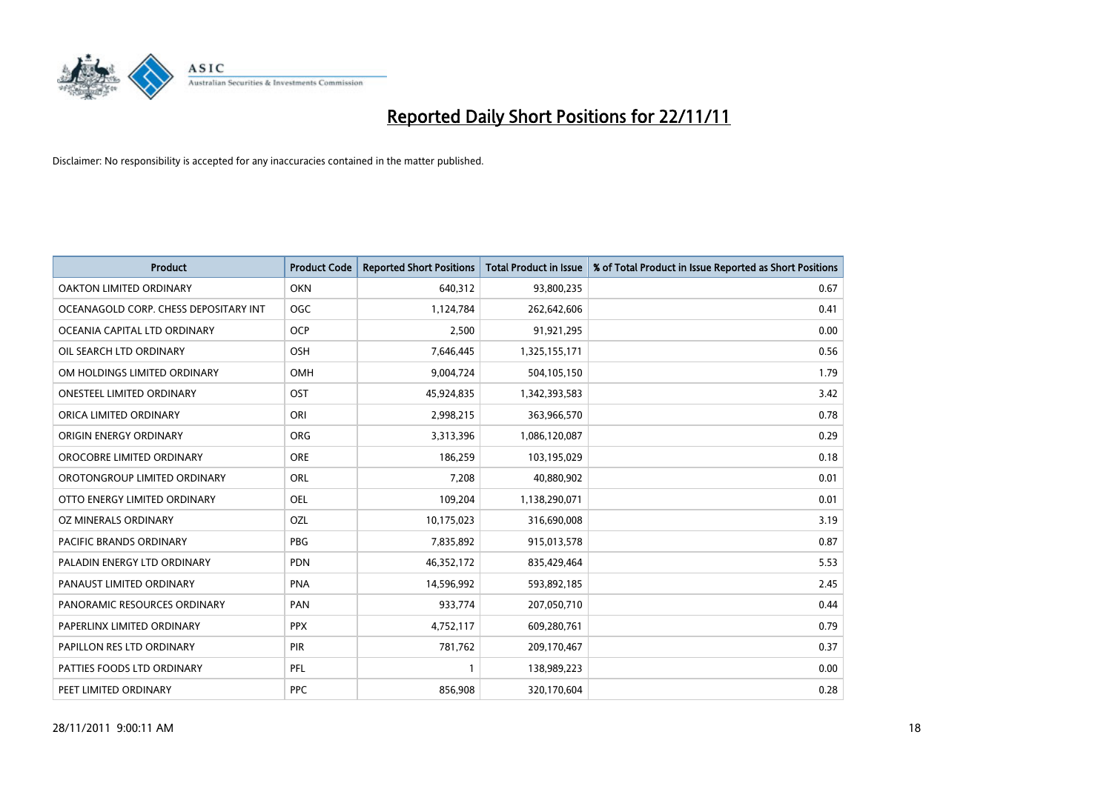

| <b>Product</b>                        | <b>Product Code</b> | <b>Reported Short Positions</b> | <b>Total Product in Issue</b> | % of Total Product in Issue Reported as Short Positions |
|---------------------------------------|---------------------|---------------------------------|-------------------------------|---------------------------------------------------------|
| <b>OAKTON LIMITED ORDINARY</b>        | <b>OKN</b>          | 640,312                         | 93,800,235                    | 0.67                                                    |
| OCEANAGOLD CORP. CHESS DEPOSITARY INT | <b>OGC</b>          | 1,124,784                       | 262,642,606                   | 0.41                                                    |
| OCEANIA CAPITAL LTD ORDINARY          | <b>OCP</b>          | 2,500                           | 91,921,295                    | 0.00                                                    |
| OIL SEARCH LTD ORDINARY               | <b>OSH</b>          | 7,646,445                       | 1,325,155,171                 | 0.56                                                    |
| OM HOLDINGS LIMITED ORDINARY          | OMH                 | 9,004,724                       | 504,105,150                   | 1.79                                                    |
| <b>ONESTEEL LIMITED ORDINARY</b>      | OST                 | 45,924,835                      | 1,342,393,583                 | 3.42                                                    |
| ORICA LIMITED ORDINARY                | ORI                 | 2,998,215                       | 363,966,570                   | 0.78                                                    |
| ORIGIN ENERGY ORDINARY                | <b>ORG</b>          | 3,313,396                       | 1,086,120,087                 | 0.29                                                    |
| OROCOBRE LIMITED ORDINARY             | <b>ORE</b>          | 186,259                         | 103,195,029                   | 0.18                                                    |
| OROTONGROUP LIMITED ORDINARY          | ORL                 | 7,208                           | 40,880,902                    | 0.01                                                    |
| OTTO ENERGY LIMITED ORDINARY          | <b>OEL</b>          | 109,204                         | 1,138,290,071                 | 0.01                                                    |
| OZ MINERALS ORDINARY                  | OZL                 | 10,175,023                      | 316,690,008                   | 3.19                                                    |
| PACIFIC BRANDS ORDINARY               | PBG                 | 7,835,892                       | 915,013,578                   | 0.87                                                    |
| PALADIN ENERGY LTD ORDINARY           | <b>PDN</b>          | 46,352,172                      | 835,429,464                   | 5.53                                                    |
| PANAUST LIMITED ORDINARY              | <b>PNA</b>          | 14,596,992                      | 593,892,185                   | 2.45                                                    |
| PANORAMIC RESOURCES ORDINARY          | PAN                 | 933,774                         | 207,050,710                   | 0.44                                                    |
| PAPERLINX LIMITED ORDINARY            | <b>PPX</b>          | 4,752,117                       | 609,280,761                   | 0.79                                                    |
| PAPILLON RES LTD ORDINARY             | PIR                 | 781,762                         | 209,170,467                   | 0.37                                                    |
| PATTIES FOODS LTD ORDINARY            | PFL                 | 1                               | 138,989,223                   | 0.00                                                    |
| PEET LIMITED ORDINARY                 | <b>PPC</b>          | 856,908                         | 320,170,604                   | 0.28                                                    |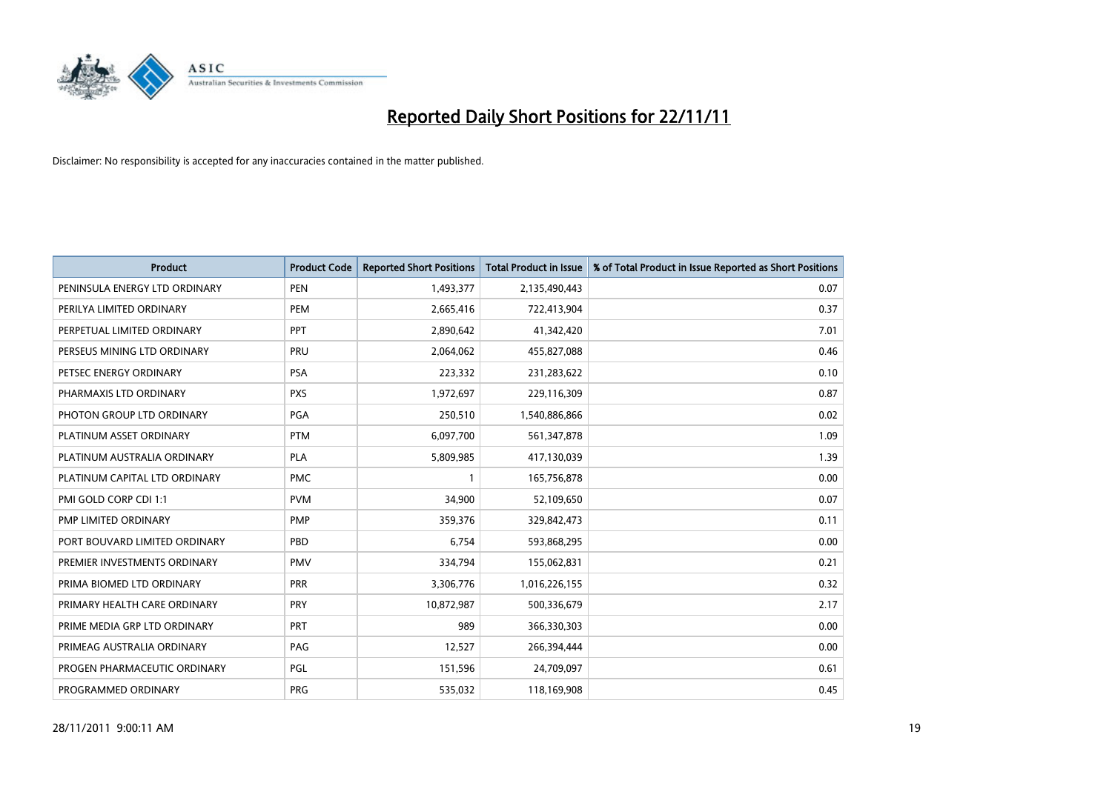

| <b>Product</b>                | <b>Product Code</b> | <b>Reported Short Positions</b> | Total Product in Issue | % of Total Product in Issue Reported as Short Positions |
|-------------------------------|---------------------|---------------------------------|------------------------|---------------------------------------------------------|
| PENINSULA ENERGY LTD ORDINARY | <b>PEN</b>          | 1,493,377                       | 2,135,490,443          | 0.07                                                    |
| PERILYA LIMITED ORDINARY      | <b>PEM</b>          | 2,665,416                       | 722,413,904            | 0.37                                                    |
| PERPETUAL LIMITED ORDINARY    | PPT                 | 2,890,642                       | 41,342,420             | 7.01                                                    |
| PERSEUS MINING LTD ORDINARY   | PRU                 | 2,064,062                       | 455,827,088            | 0.46                                                    |
| PETSEC ENERGY ORDINARY        | <b>PSA</b>          | 223,332                         | 231,283,622            | 0.10                                                    |
| PHARMAXIS LTD ORDINARY        | <b>PXS</b>          | 1,972,697                       | 229,116,309            | 0.87                                                    |
| PHOTON GROUP LTD ORDINARY     | <b>PGA</b>          | 250,510                         | 1,540,886,866          | 0.02                                                    |
| PLATINUM ASSET ORDINARY       | <b>PTM</b>          | 6,097,700                       | 561,347,878            | 1.09                                                    |
| PLATINUM AUSTRALIA ORDINARY   | <b>PLA</b>          | 5,809,985                       | 417,130,039            | 1.39                                                    |
| PLATINUM CAPITAL LTD ORDINARY | <b>PMC</b>          |                                 | 165,756,878            | 0.00                                                    |
| PMI GOLD CORP CDI 1:1         | <b>PVM</b>          | 34,900                          | 52,109,650             | 0.07                                                    |
| PMP LIMITED ORDINARY          | <b>PMP</b>          | 359,376                         | 329,842,473            | 0.11                                                    |
| PORT BOUVARD LIMITED ORDINARY | PBD                 | 6,754                           | 593,868,295            | 0.00                                                    |
| PREMIER INVESTMENTS ORDINARY  | <b>PMV</b>          | 334,794                         | 155,062,831            | 0.21                                                    |
| PRIMA BIOMED LTD ORDINARY     | <b>PRR</b>          | 3,306,776                       | 1,016,226,155          | 0.32                                                    |
| PRIMARY HEALTH CARE ORDINARY  | <b>PRY</b>          | 10,872,987                      | 500,336,679            | 2.17                                                    |
| PRIME MEDIA GRP LTD ORDINARY  | <b>PRT</b>          | 989                             | 366,330,303            | 0.00                                                    |
| PRIMEAG AUSTRALIA ORDINARY    | PAG                 | 12,527                          | 266,394,444            | 0.00                                                    |
| PROGEN PHARMACEUTIC ORDINARY  | PGL                 | 151,596                         | 24,709,097             | 0.61                                                    |
| PROGRAMMED ORDINARY           | <b>PRG</b>          | 535,032                         | 118,169,908            | 0.45                                                    |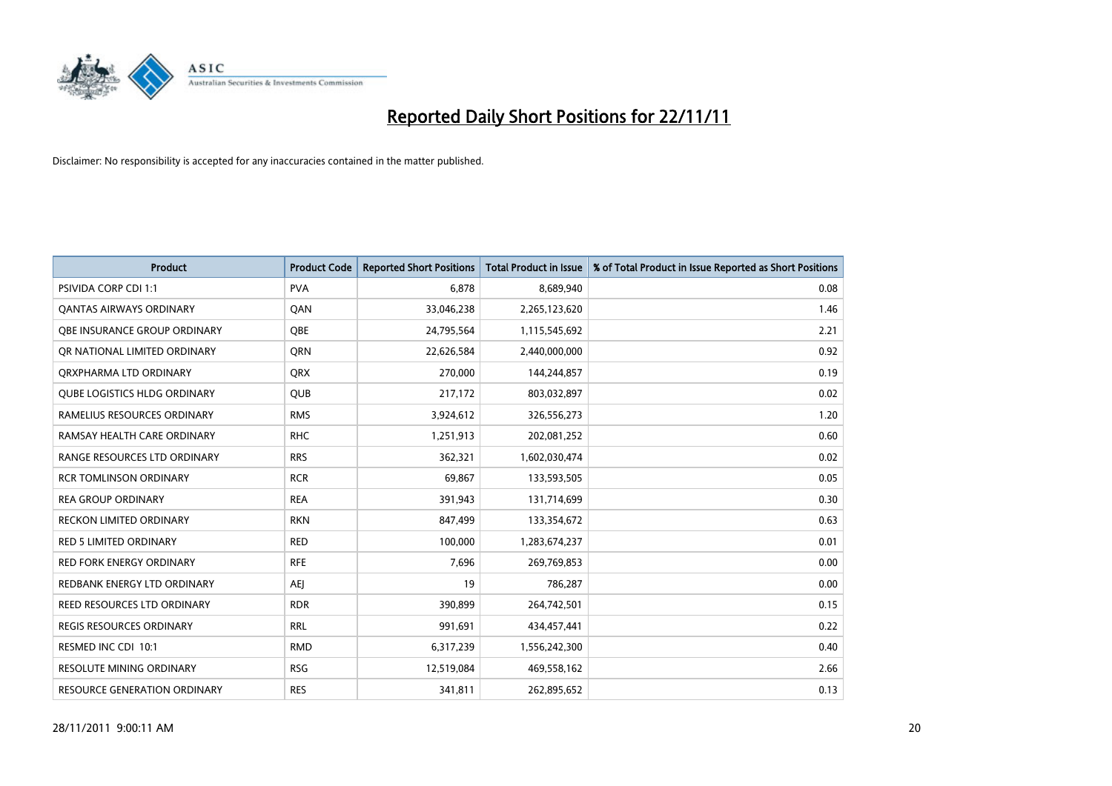

| <b>Product</b>                      | <b>Product Code</b> | <b>Reported Short Positions</b> | <b>Total Product in Issue</b> | % of Total Product in Issue Reported as Short Positions |
|-------------------------------------|---------------------|---------------------------------|-------------------------------|---------------------------------------------------------|
| <b>PSIVIDA CORP CDI 1:1</b>         | <b>PVA</b>          | 6.878                           | 8,689,940                     | 0.08                                                    |
| <b>QANTAS AIRWAYS ORDINARY</b>      | QAN                 | 33,046,238                      | 2,265,123,620                 | 1.46                                                    |
| <b>OBE INSURANCE GROUP ORDINARY</b> | OBE                 | 24,795,564                      | 1,115,545,692                 | 2.21                                                    |
| OR NATIONAL LIMITED ORDINARY        | <b>ORN</b>          | 22,626,584                      | 2,440,000,000                 | 0.92                                                    |
| ORXPHARMA LTD ORDINARY              | <b>ORX</b>          | 270,000                         | 144,244,857                   | 0.19                                                    |
| <b>QUBE LOGISTICS HLDG ORDINARY</b> | <b>QUB</b>          | 217,172                         | 803,032,897                   | 0.02                                                    |
| RAMELIUS RESOURCES ORDINARY         | <b>RMS</b>          | 3,924,612                       | 326,556,273                   | 1.20                                                    |
| RAMSAY HEALTH CARE ORDINARY         | <b>RHC</b>          | 1,251,913                       | 202,081,252                   | 0.60                                                    |
| RANGE RESOURCES LTD ORDINARY        | <b>RRS</b>          | 362,321                         | 1,602,030,474                 | 0.02                                                    |
| <b>RCR TOMLINSON ORDINARY</b>       | <b>RCR</b>          | 69,867                          | 133,593,505                   | 0.05                                                    |
| <b>REA GROUP ORDINARY</b>           | <b>REA</b>          | 391,943                         | 131,714,699                   | 0.30                                                    |
| <b>RECKON LIMITED ORDINARY</b>      | <b>RKN</b>          | 847,499                         | 133,354,672                   | 0.63                                                    |
| <b>RED 5 LIMITED ORDINARY</b>       | <b>RED</b>          | 100,000                         | 1,283,674,237                 | 0.01                                                    |
| <b>RED FORK ENERGY ORDINARY</b>     | <b>RFE</b>          | 7,696                           | 269,769,853                   | 0.00                                                    |
| REDBANK ENERGY LTD ORDINARY         | <b>AEI</b>          | 19                              | 786,287                       | 0.00                                                    |
| REED RESOURCES LTD ORDINARY         | <b>RDR</b>          | 390,899                         | 264,742,501                   | 0.15                                                    |
| REGIS RESOURCES ORDINARY            | <b>RRL</b>          | 991,691                         | 434,457,441                   | 0.22                                                    |
| RESMED INC CDI 10:1                 | <b>RMD</b>          | 6,317,239                       | 1,556,242,300                 | 0.40                                                    |
| <b>RESOLUTE MINING ORDINARY</b>     | <b>RSG</b>          | 12,519,084                      | 469,558,162                   | 2.66                                                    |
| RESOURCE GENERATION ORDINARY        | <b>RES</b>          | 341,811                         | 262,895,652                   | 0.13                                                    |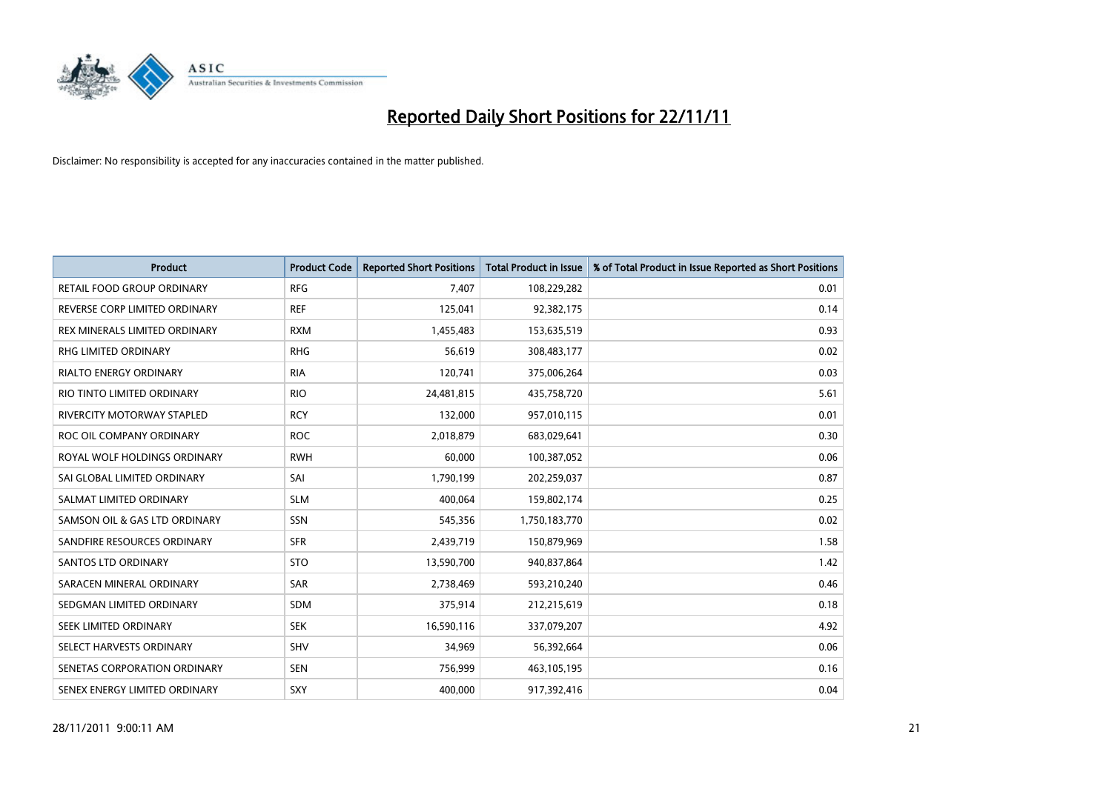

| <b>Product</b>                | <b>Product Code</b> | <b>Reported Short Positions</b> | <b>Total Product in Issue</b> | % of Total Product in Issue Reported as Short Positions |
|-------------------------------|---------------------|---------------------------------|-------------------------------|---------------------------------------------------------|
| RETAIL FOOD GROUP ORDINARY    | <b>RFG</b>          | 7,407                           | 108,229,282                   | 0.01                                                    |
| REVERSE CORP LIMITED ORDINARY | <b>REF</b>          | 125,041                         | 92,382,175                    | 0.14                                                    |
| REX MINERALS LIMITED ORDINARY | <b>RXM</b>          | 1,455,483                       | 153,635,519                   | 0.93                                                    |
| RHG LIMITED ORDINARY          | <b>RHG</b>          | 56,619                          | 308,483,177                   | 0.02                                                    |
| <b>RIALTO ENERGY ORDINARY</b> | <b>RIA</b>          | 120,741                         | 375,006,264                   | 0.03                                                    |
| RIO TINTO LIMITED ORDINARY    | <b>RIO</b>          | 24,481,815                      | 435,758,720                   | 5.61                                                    |
| RIVERCITY MOTORWAY STAPLED    | <b>RCY</b>          | 132,000                         | 957,010,115                   | 0.01                                                    |
| ROC OIL COMPANY ORDINARY      | <b>ROC</b>          | 2,018,879                       | 683,029,641                   | 0.30                                                    |
| ROYAL WOLF HOLDINGS ORDINARY  | <b>RWH</b>          | 60.000                          | 100,387,052                   | 0.06                                                    |
| SAI GLOBAL LIMITED ORDINARY   | SAI                 | 1,790,199                       | 202,259,037                   | 0.87                                                    |
| SALMAT LIMITED ORDINARY       | <b>SLM</b>          | 400,064                         | 159,802,174                   | 0.25                                                    |
| SAMSON OIL & GAS LTD ORDINARY | SSN                 | 545,356                         | 1,750,183,770                 | 0.02                                                    |
| SANDFIRE RESOURCES ORDINARY   | <b>SFR</b>          | 2,439,719                       | 150,879,969                   | 1.58                                                    |
| <b>SANTOS LTD ORDINARY</b>    | <b>STO</b>          | 13,590,700                      | 940,837,864                   | 1.42                                                    |
| SARACEN MINERAL ORDINARY      | SAR                 | 2,738,469                       | 593,210,240                   | 0.46                                                    |
| SEDGMAN LIMITED ORDINARY      | <b>SDM</b>          | 375,914                         | 212,215,619                   | 0.18                                                    |
| SEEK LIMITED ORDINARY         | <b>SEK</b>          | 16,590,116                      | 337,079,207                   | 4.92                                                    |
| SELECT HARVESTS ORDINARY      | <b>SHV</b>          | 34,969                          | 56,392,664                    | 0.06                                                    |
| SENETAS CORPORATION ORDINARY  | <b>SEN</b>          | 756,999                         | 463,105,195                   | 0.16                                                    |
| SENEX ENERGY LIMITED ORDINARY | SXY                 | 400,000                         | 917,392,416                   | 0.04                                                    |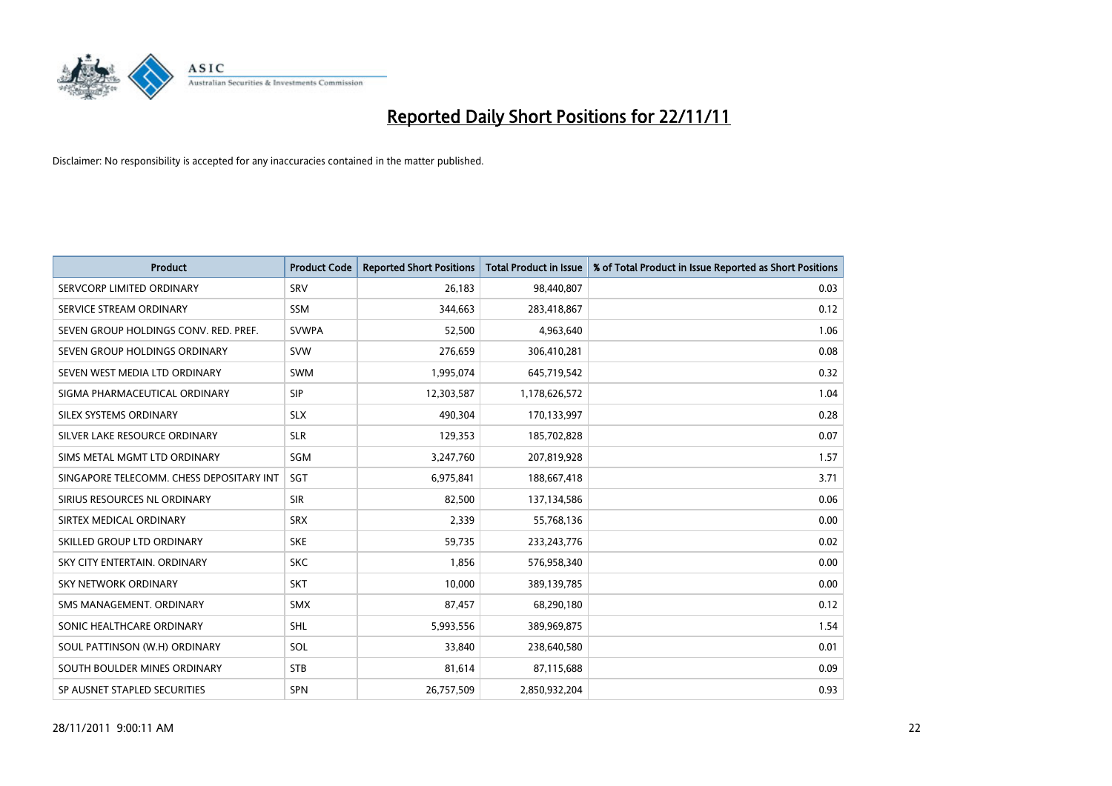

| <b>Product</b>                           | <b>Product Code</b> | <b>Reported Short Positions</b> | <b>Total Product in Issue</b> | % of Total Product in Issue Reported as Short Positions |
|------------------------------------------|---------------------|---------------------------------|-------------------------------|---------------------------------------------------------|
| SERVCORP LIMITED ORDINARY                | SRV                 | 26,183                          | 98,440,807                    | 0.03                                                    |
| SERVICE STREAM ORDINARY                  | <b>SSM</b>          | 344,663                         | 283,418,867                   | 0.12                                                    |
| SEVEN GROUP HOLDINGS CONV. RED. PREF.    | <b>SVWPA</b>        | 52,500                          | 4,963,640                     | 1.06                                                    |
| SEVEN GROUP HOLDINGS ORDINARY            | <b>SVW</b>          | 276,659                         | 306,410,281                   | 0.08                                                    |
| SEVEN WEST MEDIA LTD ORDINARY            | <b>SWM</b>          | 1,995,074                       | 645,719,542                   | 0.32                                                    |
| SIGMA PHARMACEUTICAL ORDINARY            | <b>SIP</b>          | 12,303,587                      | 1,178,626,572                 | 1.04                                                    |
| SILEX SYSTEMS ORDINARY                   | <b>SLX</b>          | 490,304                         | 170,133,997                   | 0.28                                                    |
| SILVER LAKE RESOURCE ORDINARY            | <b>SLR</b>          | 129,353                         | 185,702,828                   | 0.07                                                    |
| SIMS METAL MGMT LTD ORDINARY             | <b>SGM</b>          | 3,247,760                       | 207,819,928                   | 1.57                                                    |
| SINGAPORE TELECOMM. CHESS DEPOSITARY INT | SGT                 | 6,975,841                       | 188,667,418                   | 3.71                                                    |
| SIRIUS RESOURCES NL ORDINARY             | <b>SIR</b>          | 82,500                          | 137,134,586                   | 0.06                                                    |
| SIRTEX MEDICAL ORDINARY                  | <b>SRX</b>          | 2,339                           | 55,768,136                    | 0.00                                                    |
| SKILLED GROUP LTD ORDINARY               | <b>SKE</b>          | 59,735                          | 233, 243, 776                 | 0.02                                                    |
| SKY CITY ENTERTAIN, ORDINARY             | <b>SKC</b>          | 1,856                           | 576,958,340                   | 0.00                                                    |
| <b>SKY NETWORK ORDINARY</b>              | <b>SKT</b>          | 10,000                          | 389,139,785                   | 0.00                                                    |
| SMS MANAGEMENT. ORDINARY                 | <b>SMX</b>          | 87,457                          | 68,290,180                    | 0.12                                                    |
| SONIC HEALTHCARE ORDINARY                | <b>SHL</b>          | 5,993,556                       | 389,969,875                   | 1.54                                                    |
| SOUL PATTINSON (W.H) ORDINARY            | SOL                 | 33,840                          | 238,640,580                   | 0.01                                                    |
| SOUTH BOULDER MINES ORDINARY             | <b>STB</b>          | 81,614                          | 87,115,688                    | 0.09                                                    |
| SP AUSNET STAPLED SECURITIES             | <b>SPN</b>          | 26,757,509                      | 2,850,932,204                 | 0.93                                                    |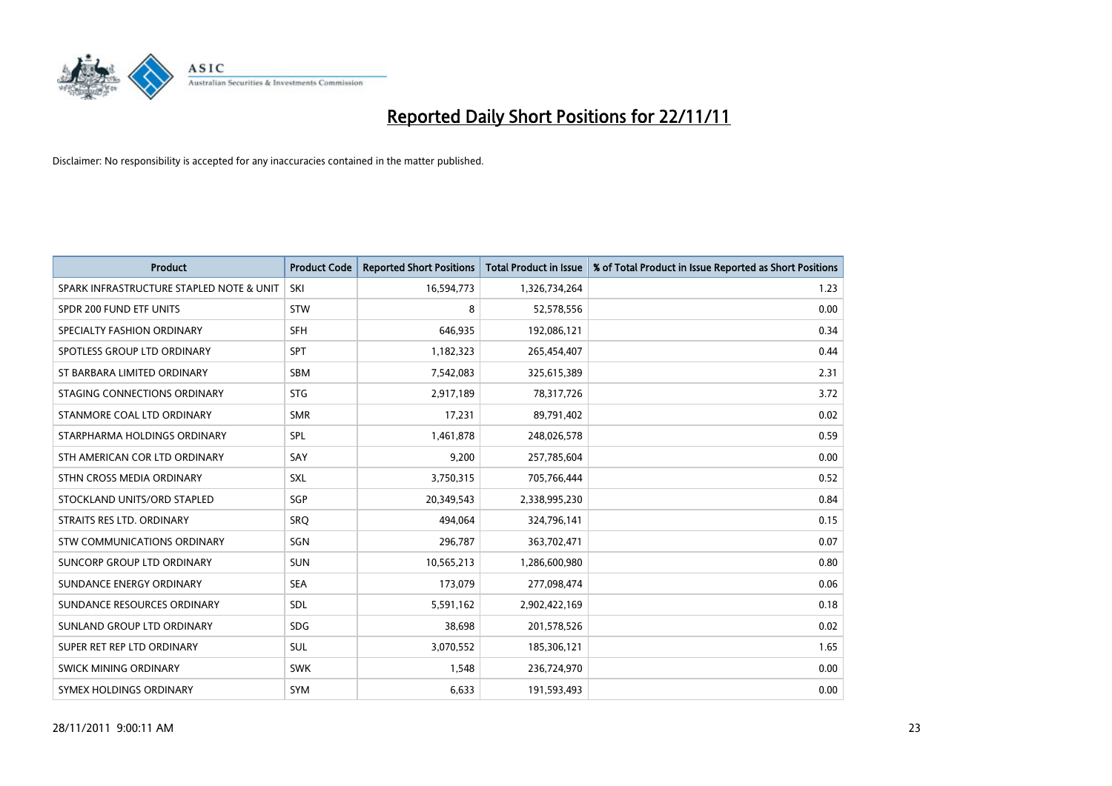

| <b>Product</b>                           | <b>Product Code</b> | <b>Reported Short Positions</b> | <b>Total Product in Issue</b> | % of Total Product in Issue Reported as Short Positions |
|------------------------------------------|---------------------|---------------------------------|-------------------------------|---------------------------------------------------------|
| SPARK INFRASTRUCTURE STAPLED NOTE & UNIT | SKI                 | 16,594,773                      | 1,326,734,264                 | 1.23                                                    |
| SPDR 200 FUND ETF UNITS                  | <b>STW</b>          | 8                               | 52,578,556                    | 0.00                                                    |
| SPECIALTY FASHION ORDINARY               | <b>SFH</b>          | 646,935                         | 192,086,121                   | 0.34                                                    |
| SPOTLESS GROUP LTD ORDINARY              | <b>SPT</b>          | 1,182,323                       | 265,454,407                   | 0.44                                                    |
| ST BARBARA LIMITED ORDINARY              | <b>SBM</b>          | 7,542,083                       | 325,615,389                   | 2.31                                                    |
| STAGING CONNECTIONS ORDINARY             | <b>STG</b>          | 2,917,189                       | 78,317,726                    | 3.72                                                    |
| STANMORE COAL LTD ORDINARY               | <b>SMR</b>          | 17,231                          | 89,791,402                    | 0.02                                                    |
| STARPHARMA HOLDINGS ORDINARY             | SPL                 | 1,461,878                       | 248,026,578                   | 0.59                                                    |
| STH AMERICAN COR LTD ORDINARY            | SAY                 | 9,200                           | 257,785,604                   | 0.00                                                    |
| STHN CROSS MEDIA ORDINARY                | <b>SXL</b>          | 3,750,315                       | 705,766,444                   | 0.52                                                    |
| STOCKLAND UNITS/ORD STAPLED              | SGP                 | 20,349,543                      | 2,338,995,230                 | 0.84                                                    |
| STRAITS RES LTD. ORDINARY                | SRQ                 | 494,064                         | 324,796,141                   | 0.15                                                    |
| STW COMMUNICATIONS ORDINARY              | SGN                 | 296,787                         | 363,702,471                   | 0.07                                                    |
| SUNCORP GROUP LTD ORDINARY               | <b>SUN</b>          | 10,565,213                      | 1,286,600,980                 | 0.80                                                    |
| SUNDANCE ENERGY ORDINARY                 | <b>SEA</b>          | 173,079                         | 277,098,474                   | 0.06                                                    |
| SUNDANCE RESOURCES ORDINARY              | <b>SDL</b>          | 5,591,162                       | 2,902,422,169                 | 0.18                                                    |
| SUNLAND GROUP LTD ORDINARY               | <b>SDG</b>          | 38,698                          | 201,578,526                   | 0.02                                                    |
| SUPER RET REP LTD ORDINARY               | <b>SUL</b>          | 3,070,552                       | 185,306,121                   | 1.65                                                    |
| SWICK MINING ORDINARY                    | <b>SWK</b>          | 1,548                           | 236,724,970                   | 0.00                                                    |
| SYMEX HOLDINGS ORDINARY                  | <b>SYM</b>          | 6,633                           | 191,593,493                   | 0.00                                                    |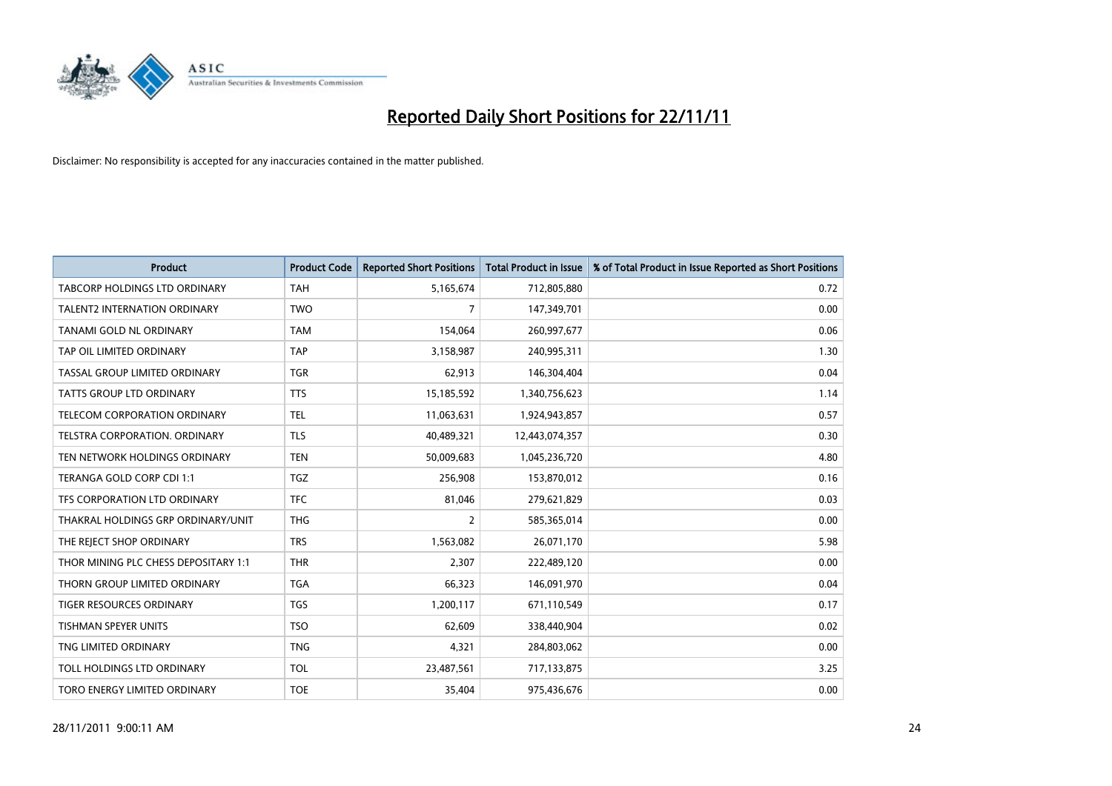

| <b>Product</b>                       | <b>Product Code</b> | <b>Reported Short Positions</b> | <b>Total Product in Issue</b> | % of Total Product in Issue Reported as Short Positions |
|--------------------------------------|---------------------|---------------------------------|-------------------------------|---------------------------------------------------------|
| <b>TABCORP HOLDINGS LTD ORDINARY</b> | <b>TAH</b>          | 5,165,674                       | 712,805,880                   | 0.72                                                    |
| TALENT2 INTERNATION ORDINARY         | <b>TWO</b>          | 7                               | 147,349,701                   | 0.00                                                    |
| <b>TANAMI GOLD NL ORDINARY</b>       | <b>TAM</b>          | 154,064                         | 260,997,677                   | 0.06                                                    |
| TAP OIL LIMITED ORDINARY             | <b>TAP</b>          | 3,158,987                       | 240,995,311                   | 1.30                                                    |
| TASSAL GROUP LIMITED ORDINARY        | <b>TGR</b>          | 62,913                          | 146,304,404                   | 0.04                                                    |
| <b>TATTS GROUP LTD ORDINARY</b>      | <b>TTS</b>          | 15,185,592                      | 1,340,756,623                 | 1.14                                                    |
| TELECOM CORPORATION ORDINARY         | <b>TEL</b>          | 11,063,631                      | 1,924,943,857                 | 0.57                                                    |
| TELSTRA CORPORATION. ORDINARY        | <b>TLS</b>          | 40,489,321                      | 12,443,074,357                | 0.30                                                    |
| TEN NETWORK HOLDINGS ORDINARY        | <b>TEN</b>          | 50,009,683                      | 1,045,236,720                 | 4.80                                                    |
| TERANGA GOLD CORP CDI 1:1            | <b>TGZ</b>          | 256,908                         | 153,870,012                   | 0.16                                                    |
| TFS CORPORATION LTD ORDINARY         | <b>TFC</b>          | 81,046                          | 279,621,829                   | 0.03                                                    |
| THAKRAL HOLDINGS GRP ORDINARY/UNIT   | <b>THG</b>          | 2                               | 585,365,014                   | 0.00                                                    |
| THE REJECT SHOP ORDINARY             | <b>TRS</b>          | 1,563,082                       | 26,071,170                    | 5.98                                                    |
| THOR MINING PLC CHESS DEPOSITARY 1:1 | <b>THR</b>          | 2,307                           | 222,489,120                   | 0.00                                                    |
| THORN GROUP LIMITED ORDINARY         | <b>TGA</b>          | 66,323                          | 146,091,970                   | 0.04                                                    |
| TIGER RESOURCES ORDINARY             | <b>TGS</b>          | 1,200,117                       | 671,110,549                   | 0.17                                                    |
| TISHMAN SPEYER UNITS                 | <b>TSO</b>          | 62,609                          | 338,440,904                   | 0.02                                                    |
| TNG LIMITED ORDINARY                 | <b>TNG</b>          | 4,321                           | 284,803,062                   | 0.00                                                    |
| TOLL HOLDINGS LTD ORDINARY           | <b>TOL</b>          | 23,487,561                      | 717,133,875                   | 3.25                                                    |
| TORO ENERGY LIMITED ORDINARY         | <b>TOE</b>          | 35,404                          | 975,436,676                   | 0.00                                                    |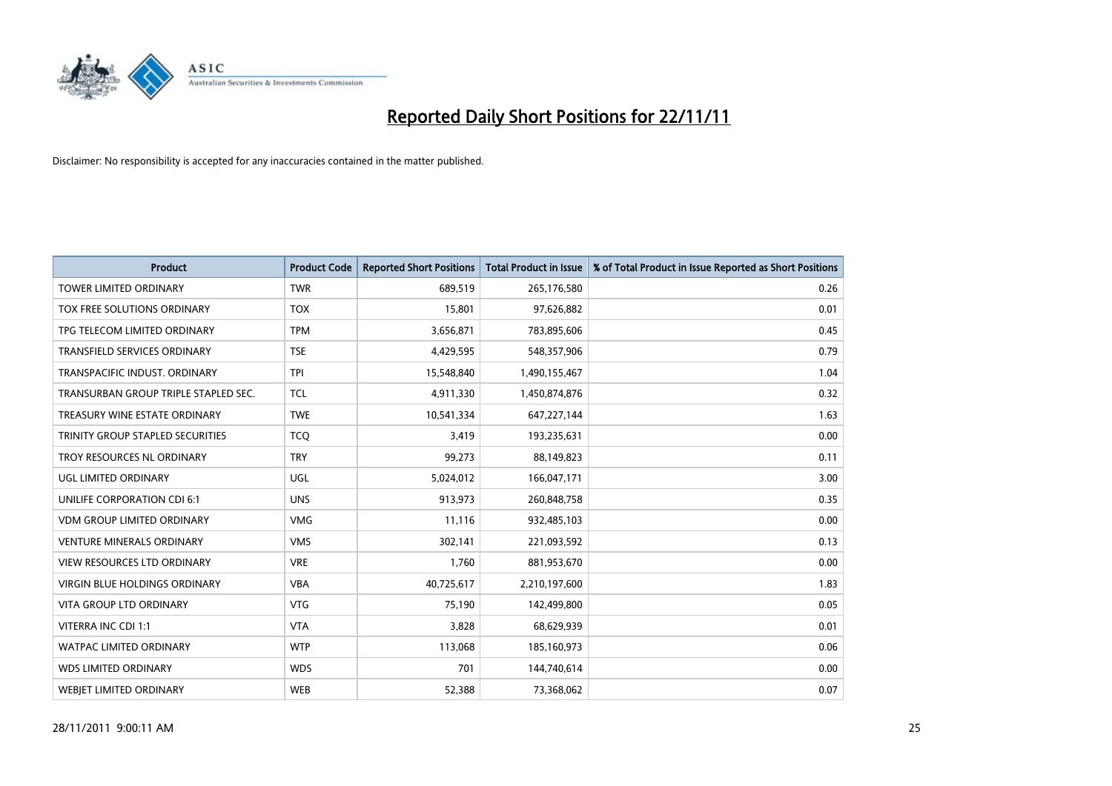

| <b>Product</b>                       | <b>Product Code</b> | <b>Reported Short Positions</b> | <b>Total Product in Issue</b> | % of Total Product in Issue Reported as Short Positions |
|--------------------------------------|---------------------|---------------------------------|-------------------------------|---------------------------------------------------------|
| <b>TOWER LIMITED ORDINARY</b>        | <b>TWR</b>          | 689,519                         | 265,176,580                   | 0.26                                                    |
| TOX FREE SOLUTIONS ORDINARY          | <b>TOX</b>          | 15,801                          | 97,626,882                    | 0.01                                                    |
| TPG TELECOM LIMITED ORDINARY         | <b>TPM</b>          | 3,656,871                       | 783,895,606                   | 0.45                                                    |
| TRANSFIELD SERVICES ORDINARY         | <b>TSE</b>          | 4,429,595                       | 548,357,906                   | 0.79                                                    |
| TRANSPACIFIC INDUST, ORDINARY        | <b>TPI</b>          | 15,548,840                      | 1,490,155,467                 | 1.04                                                    |
| TRANSURBAN GROUP TRIPLE STAPLED SEC. | <b>TCL</b>          | 4,911,330                       | 1,450,874,876                 | 0.32                                                    |
| TREASURY WINE ESTATE ORDINARY        | <b>TWE</b>          | 10,541,334                      | 647,227,144                   | 1.63                                                    |
| TRINITY GROUP STAPLED SECURITIES     | <b>TCQ</b>          | 3,419                           | 193,235,631                   | 0.00                                                    |
| TROY RESOURCES NL ORDINARY           | <b>TRY</b>          | 99,273                          | 88,149,823                    | 0.11                                                    |
| UGL LIMITED ORDINARY                 | UGL                 | 5,024,012                       | 166,047,171                   | 3.00                                                    |
| UNILIFE CORPORATION CDI 6:1          | <b>UNS</b>          | 913,973                         | 260,848,758                   | 0.35                                                    |
| <b>VDM GROUP LIMITED ORDINARY</b>    | <b>VMG</b>          | 11,116                          | 932,485,103                   | 0.00                                                    |
| <b>VENTURE MINERALS ORDINARY</b>     | <b>VMS</b>          | 302,141                         | 221,093,592                   | 0.13                                                    |
| <b>VIEW RESOURCES LTD ORDINARY</b>   | <b>VRE</b>          | 1,760                           | 881,953,670                   | 0.00                                                    |
| <b>VIRGIN BLUE HOLDINGS ORDINARY</b> | <b>VBA</b>          | 40,725,617                      | 2,210,197,600                 | 1.83                                                    |
| <b>VITA GROUP LTD ORDINARY</b>       | <b>VTG</b>          | 75,190                          | 142,499,800                   | 0.05                                                    |
| VITERRA INC CDI 1:1                  | <b>VTA</b>          | 3,828                           | 68,629,939                    | 0.01                                                    |
| <b>WATPAC LIMITED ORDINARY</b>       | <b>WTP</b>          | 113,068                         | 185,160,973                   | 0.06                                                    |
| <b>WDS LIMITED ORDINARY</b>          | <b>WDS</b>          | 701                             | 144,740,614                   | 0.00                                                    |
| <b>WEBIET LIMITED ORDINARY</b>       | <b>WEB</b>          | 52,388                          | 73,368,062                    | 0.07                                                    |